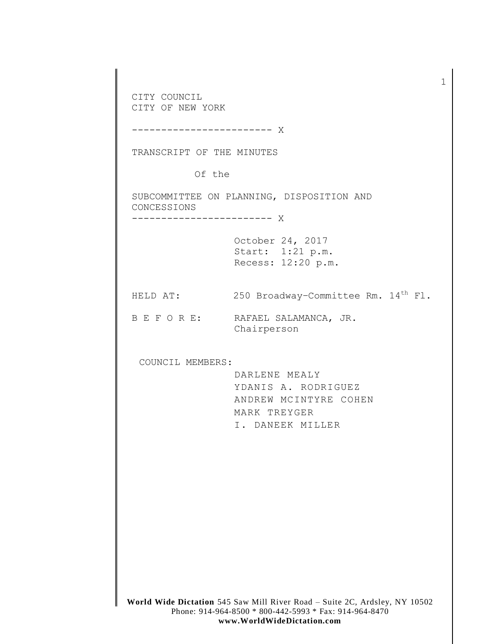**World Wide Dictation** 545 Saw Mill River Road – Suite 2C, Ardsley, NY 10502 Phone: 914-964-8500 \* 800-442-5993 \* Fax: 914-964-8470 CITY COUNCIL CITY OF NEW YORK ------------------------ X TRANSCRIPT OF THE MINUTES Of the SUBCOMMITTEE ON PLANNING, DISPOSITION AND CONCESSIONS ------------------------ X October 24, 2017 Start: 1:21 p.m. Recess: 12:20 p.m. HELD AT: 250 Broadway-Committee Rm. 14<sup>th</sup> Fl. B E F O R E: RAFAEL SALAMANCA, JR. Chairperson COUNCIL MEMBERS: DARLENE MEALY YDANIS A. RODRIGUEZ ANDREW MCINTYRE COHEN MARK TREYGER I. DANEEK MILLER

1

**www.WorldWideDictation.com**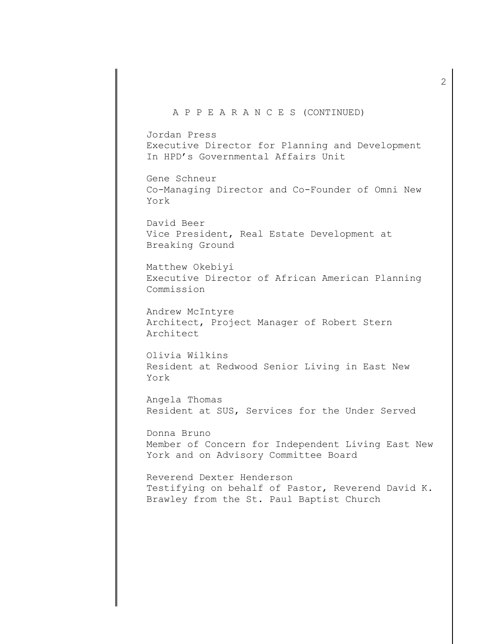### A P P E A R A N C E S (CONTINUED)

Jordan Press Executive Director for Planning and Development In HPD's Governmental Affairs Unit

Gene Schneur Co-Managing Director and Co-Founder of Omni New York

David Beer Vice President, Real Estate Development at Breaking Ground

Matthew Okebiyi Executive Director of African American Planning Commission

Andrew McIntyre Architect, Project Manager of Robert Stern Architect

Olivia Wilkins Resident at Redwood Senior Living in East New York

Angela Thomas Resident at SUS, Services for the Under Served

Donna Bruno Member of Concern for Independent Living East New York and on Advisory Committee Board

Reverend Dexter Henderson Testifying on behalf of Pastor, Reverend David K. Brawley from the St. Paul Baptist Church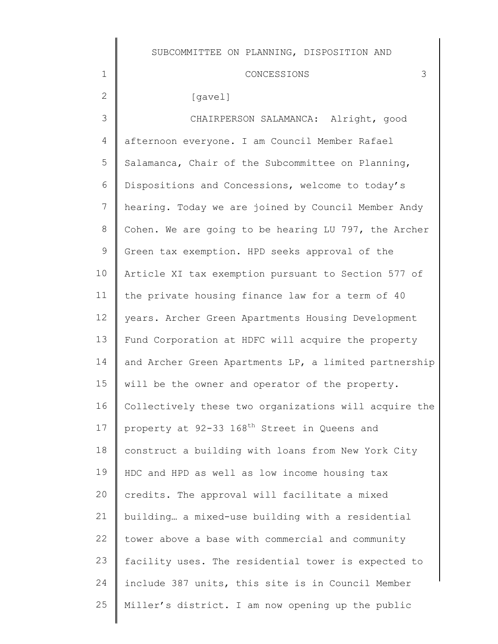#### CONCESSIONS 3

#### [gavel]

1

2

3 4 5 6 7 8 9 10 11 12 13 14 15 16 17 18 19  $20$ 21 22 23 24 25 CHAIRPERSON SALAMANCA: Alright, good afternoon everyone. I am Council Member Rafael Salamanca, Chair of the Subcommittee on Planning, Dispositions and Concessions, welcome to today's hearing. Today we are joined by Council Member Andy Cohen. We are going to be hearing LU 797, the Archer Green tax exemption. HPD seeks approval of the Article XI tax exemption pursuant to Section 577 of the private housing finance law for a term of 40 years. Archer Green Apartments Housing Development Fund Corporation at HDFC will acquire the property and Archer Green Apartments LP, a limited partnership will be the owner and operator of the property. Collectively these two organizations will acquire the property at 92-33 168<sup>th</sup> Street in Queens and construct a building with loans from New York City HDC and HPD as well as low income housing tax credits. The approval will facilitate a mixed building… a mixed-use building with a residential tower above a base with commercial and community facility uses. The residential tower is expected to include 387 units, this site is in Council Member Miller's district. I am now opening up the public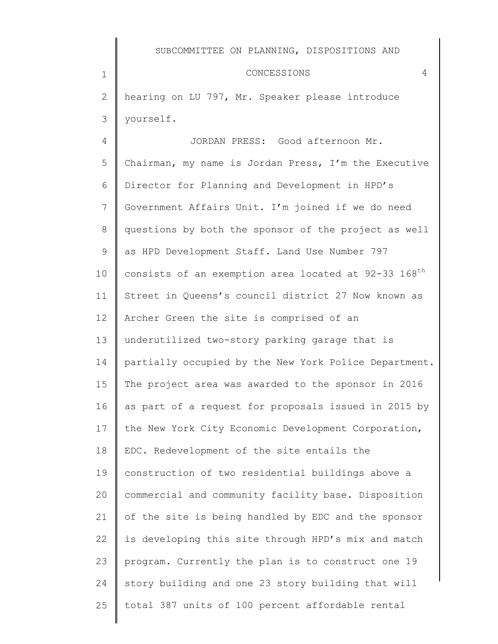#### CONCESSIONS 4

2 3 hearing on LU 797, Mr. Speaker please introduce yourself.

1

4 5 6 7 8 9 10 11 12 13 14 15 16 17 18 19 20 21 22 23 24 25 JORDAN PRESS: Good afternoon Mr. Chairman, my name is Jordan Press, I'm the Executive Director for Planning and Development in HPD's Government Affairs Unit. I'm joined if we do need questions by both the sponsor of the project as well as HPD Development Staff. Land Use Number 797 consists of an exemption area located at 92-33 168<sup>th</sup> Street in Queens's council district 27 Now known as Archer Green the site is comprised of an underutilized two-story parking garage that is partially occupied by the New York Police Department. The project area was awarded to the sponsor in 2016 as part of a request for proposals issued in 2015 by the New York City Economic Development Corporation, EDC. Redevelopment of the site entails the construction of two residential buildings above a commercial and community facility base. Disposition of the site is being handled by EDC and the sponsor is developing this site through HPD's mix and match program. Currently the plan is to construct one 19 story building and one 23 story building that will total 387 units of 100 percent affordable rental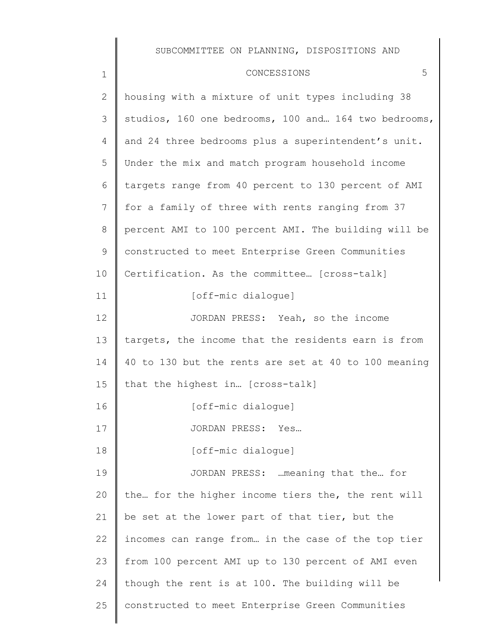## CONCESSIONS 5

| $\mathbf 1$    | 5<br>CONCESSIONS                                     |
|----------------|------------------------------------------------------|
| $\overline{2}$ | housing with a mixture of unit types including 38    |
| 3              | studios, 160 one bedrooms, 100 and 164 two bedrooms, |
| 4              | and 24 three bedrooms plus a superintendent's unit.  |
| 5              | Under the mix and match program household income     |
| 6              | targets range from 40 percent to 130 percent of AMI  |
| 7              | for a family of three with rents ranging from 37     |
| 8              | percent AMI to 100 percent AMI. The building will be |
| 9              | constructed to meet Enterprise Green Communities     |
| 10             | Certification. As the committee [cross-talk]         |
| 11             | [off-mic dialoque]                                   |
| 12             | JORDAN PRESS: Yeah, so the income                    |
| 13             | targets, the income that the residents earn is from  |
| 14             | 40 to 130 but the rents are set at 40 to 100 meaning |
| 15             | that the highest in [cross-talk]                     |
| 16             | [off-mic dialoque]                                   |
| 17             | JORDAN PRESS: Yes                                    |
| 18             | [off-mic dialoque]                                   |
| 19             | JORDAN PRESS:  meaning that the for                  |
| 20             | the for the higher income tiers the, the rent will   |
| 21             | be set at the lower part of that tier, but the       |
| 22             | incomes can range from in the case of the top tier   |
| 23             | from 100 percent AMI up to 130 percent of AMI even   |
| 24             | though the rent is at 100. The building will be      |
| 25             | constructed to meet Enterprise Green Communities     |
|                |                                                      |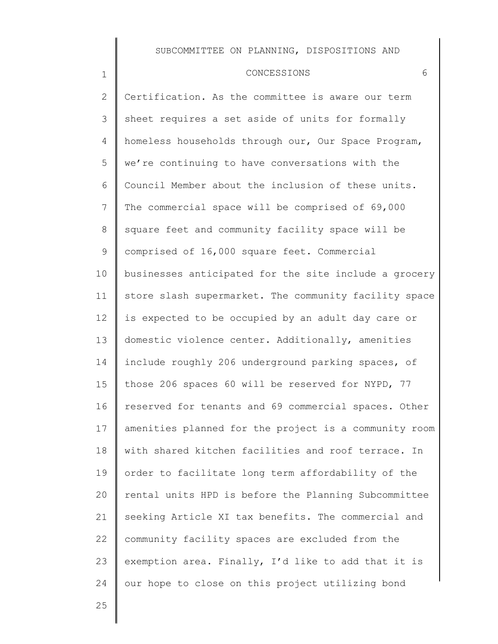#### CONCESSIONS 6

2 3 4 5 6 7 8 9 10 11 12 13 14 15 16 17 18 19 20 21 22 23 24 Certification. As the committee is aware our term sheet requires a set aside of units for formally homeless households through our, Our Space Program, we're continuing to have conversations with the Council Member about the inclusion of these units. The commercial space will be comprised of 69,000 square feet and community facility space will be comprised of 16,000 square feet. Commercial businesses anticipated for the site include a grocery store slash supermarket. The community facility space is expected to be occupied by an adult day care or domestic violence center. Additionally, amenities include roughly 206 underground parking spaces, of those 206 spaces 60 will be reserved for NYPD, 77 reserved for tenants and 69 commercial spaces. Other amenities planned for the project is a community room with shared kitchen facilities and roof terrace. In order to facilitate long term affordability of the rental units HPD is before the Planning Subcommittee seeking Article XI tax benefits. The commercial and community facility spaces are excluded from the exemption area. Finally, I'd like to add that it is our hope to close on this project utilizing bond

25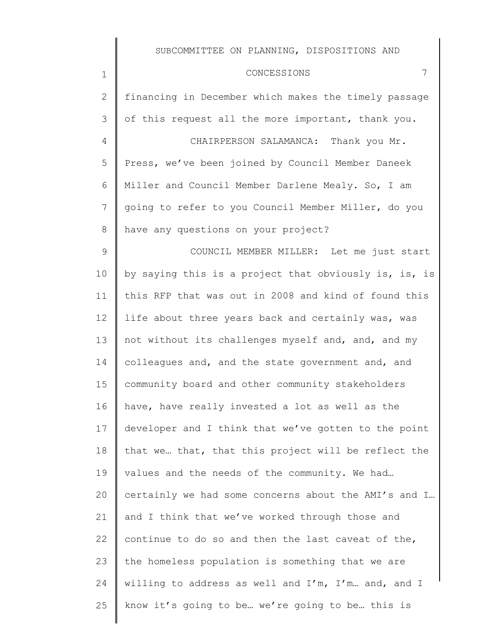| $\overline{2}$  | financing in December which makes the timely passage  |
|-----------------|-------------------------------------------------------|
| 3               | of this request all the more important, thank you.    |
| 4               | CHAIRPERSON SALAMANCA: Thank you Mr.                  |
| 5               | Press, we've been joined by Council Member Daneek     |
| 6               | Miller and Council Member Darlene Mealy. So, I am     |
| $7\phantom{.0}$ | going to refer to you Council Member Miller, do you   |
| 8               | have any questions on your project?                   |
| $\mathsf 9$     | COUNCIL MEMBER MILLER: Let me just start              |
| 10              | by saying this is a project that obviously is, is, is |
| 11              | this RFP that was out in 2008 and kind of found this  |
| 12              | life about three years back and certainly was, was    |
| 13              | not without its challenges myself and, and, and my    |
| 14              | colleagues and, and the state government and, and     |
| 15              | community board and other community stakeholders      |
| 16              | have, have really invested a lot as well as the       |
| 17              | developer and I think that we've gotten to the point  |
| 18              | that we that, that this project will be reflect the   |
| 19              | values and the needs of the community. We had         |
| 20              | certainly we had some concerns about the AMI's and I  |
| 21              | and I think that we've worked through those and       |
| 22              | continue to do so and then the last caveat of the,    |
| 23              | the homeless population is something that we are      |
| 24              | willing to address as well and I'm, I'm and, and I    |
| 25              | know it's going to be we're going to be this is       |
|                 |                                                       |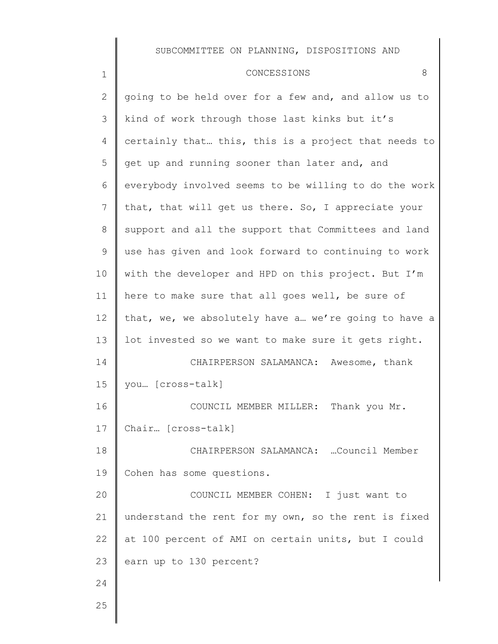| $\overline{2}$ | going to be held over for a few and, and allow us to  |
|----------------|-------------------------------------------------------|
| 3              | kind of work through those last kinks but it's        |
| 4              | certainly that this, this is a project that needs to  |
| 5              | get up and running sooner than later and, and         |
| 6              | everybody involved seems to be willing to do the work |
| $\overline{7}$ | that, that will get us there. So, I appreciate your   |
| 8              | support and all the support that Committees and land  |
| 9              | use has given and look forward to continuing to work  |
| 10             | with the developer and HPD on this project. But I'm   |
| 11             | here to make sure that all goes well, be sure of      |
| 12             | that, we, we absolutely have a we're going to have a  |
| 13             | lot invested so we want to make sure it gets right.   |
| 14             | CHAIRPERSON SALAMANCA: Awesome, thank                 |
| 15             | you [cross-talk]                                      |
| 16             | COUNCIL MEMBER MILLER: Thank you Mr.                  |
| 17             | Chair [cross-talk]                                    |
| 18             | CHAIRPERSON SALAMANCA: Council Member                 |
| 19             | Cohen has some questions.                             |
| 20             | COUNCIL MEMBER COHEN: I just want to                  |
| 21             | understand the rent for my own, so the rent is fixed  |
| 22             | at 100 percent of AMI on certain units, but I could   |
| 23             | earn up to 130 percent?                               |
| 24             |                                                       |
| 25             |                                                       |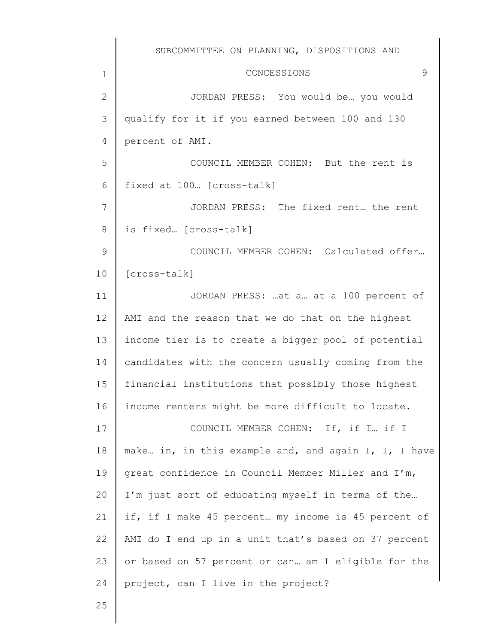1 2 3 4 5 6 7 8 9 10 11 12 13 14 15 16 17 18 19 20 21 22 23 24 SUBCOMMITTEE ON PLANNING, DISPOSITIONS AND CONCESSIONS 9 JORDAN PRESS: You would be… you would qualify for it if you earned between 100 and 130 percent of AMI. COUNCIL MEMBER COHEN: But the rent is fixed at 100… [cross-talk] JORDAN PRESS: The fixed rent… the rent is fixed… [cross-talk] COUNCIL MEMBER COHEN: Calculated offer… [cross-talk] JORDAN PRESS: …at a… at a 100 percent of AMI and the reason that we do that on the highest income tier is to create a bigger pool of potential candidates with the concern usually coming from the financial institutions that possibly those highest income renters might be more difficult to locate. COUNCIL MEMBER COHEN: If, if I… if I make… in, in this example and, and again I, I, I have great confidence in Council Member Miller and I'm, I'm just sort of educating myself in terms of the… if, if I make 45 percent… my income is 45 percent of AMI do I end up in a unit that's based on 37 percent or based on 57 percent or can… am I eligible for the project, can I live in the project?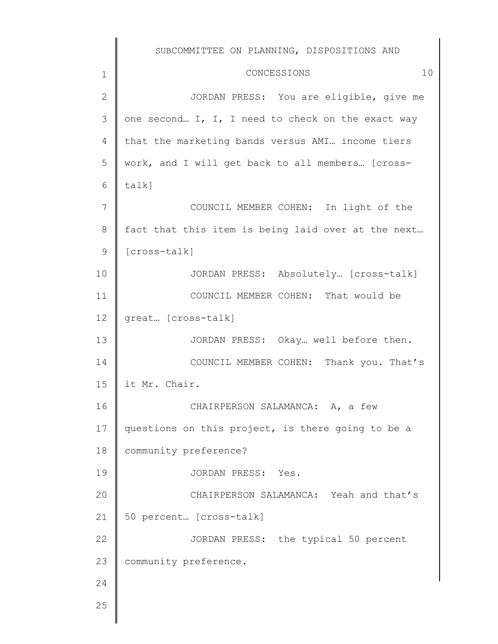|                 | SUBCOMMITTEE ON PLANNING, DISPOSITIONS AND         |
|-----------------|----------------------------------------------------|
| 1               | 10<br>CONCESSIONS                                  |
| $\mathbf{2}$    | JORDAN PRESS: You are eligible, give me            |
| 3               | one second I, I, I need to check on the exact way  |
| 4               | that the marketing bands versus AMI income tiers   |
| 5               | work, and I will get back to all members [cross-   |
| 6               | talk]                                              |
| $7\phantom{.0}$ | COUNCIL MEMBER COHEN: In light of the              |
| 8               | fact that this item is being laid over at the next |
| 9               | [cross-talk]                                       |
| 10              | JORDAN PRESS: Absolutely [cross-talk]              |
| 11              | COUNCIL MEMBER COHEN: That would be                |
| 12              | great [cross-talk]                                 |
| 13              | JORDAN PRESS: Okay well before then.               |
| 14              | COUNCIL MEMBER COHEN: Thank you. That's            |
| 15              | it Mr. Chair.                                      |
| 16              | CHAIRPERSON SALAMANCA: A, a few                    |
| 17              | questions on this project, is there going to be a  |
| 18              | community preference?                              |
| 19              | JORDAN PRESS: Yes.                                 |
| 20              | CHAIRPERSON SALAMANCA: Yeah and that's             |
| 21              | 50 percent [cross-talk]                            |
| 22              | JORDAN PRESS: the typical 50 percent               |
| 23              | community preference.                              |
| 24              |                                                    |
| 25              |                                                    |
|                 |                                                    |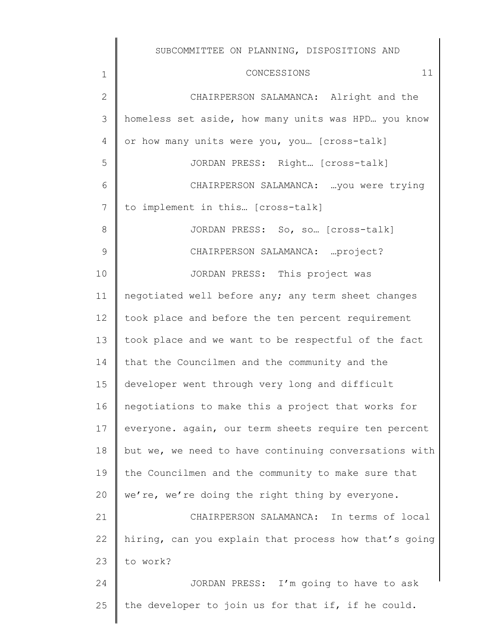| $\mathbf 1$    | CONCESSIONS<br>11                                     |
|----------------|-------------------------------------------------------|
| $\mathbf{2}$   | CHAIRPERSON SALAMANCA: Alright and the                |
| 3              | homeless set aside, how many units was HPD you know   |
| 4              | or how many units were you, you [cross-talk]          |
| 5              | JORDAN PRESS: Right [Cross-talk]                      |
| 6              | CHAIRPERSON SALAMANCA:  you were trying               |
| $7\phantom{.}$ | to implement in this [cross-talk]                     |
| 8              | JORDAN PRESS: So, so [cross-talk]                     |
| 9              | CHAIRPERSON SALAMANCA:  project?                      |
| 10             | JORDAN PRESS: This project was                        |
| 11             | negotiated well before any; any term sheet changes    |
| 12             | took place and before the ten percent requirement     |
| 13             | took place and we want to be respectful of the fact   |
| 14             | that the Councilmen and the community and the         |
| 15             | developer went through very long and difficult        |
| 16             | negotiations to make this a project that works for    |
| 17             | everyone. again, our term sheets require ten percent  |
| 18             | but we, we need to have continuing conversations with |
| 19             | the Councilmen and the community to make sure that    |
| 20             | we're, we're doing the right thing by everyone.       |
| 21             | CHAIRPERSON SALAMANCA: In terms of local              |
| 22             | hiring, can you explain that process how that's going |
| 23             | to work?                                              |
| 24             | JORDAN PRESS: I'm going to have to ask                |
| 25             | the developer to join us for that if, if he could.    |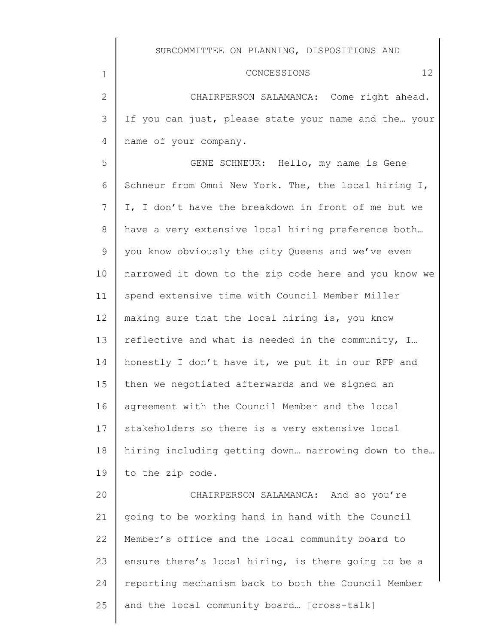1

2 3 4 CHAIRPERSON SALAMANCA: Come right ahead. If you can just, please state your name and the… your name of your company.

5 6 7 8 9 10 11 12 13 14 15 16 17 18 19 GENE SCHNEUR: Hello, my name is Gene Schneur from Omni New York. The, the local hiring I, I, I don't have the breakdown in front of me but we have a very extensive local hiring preference both… you know obviously the city Queens and we've even narrowed it down to the zip code here and you know we spend extensive time with Council Member Miller making sure that the local hiring is, you know reflective and what is needed in the community, I… honestly I don't have it, we put it in our RFP and then we negotiated afterwards and we signed an agreement with the Council Member and the local stakeholders so there is a very extensive local hiring including getting down… narrowing down to the… to the zip code.

20 21 22 23 24 25 CHAIRPERSON SALAMANCA: And so you're going to be working hand in hand with the Council Member's office and the local community board to ensure there's local hiring, is there going to be a reporting mechanism back to both the Council Member and the local community board… [cross-talk]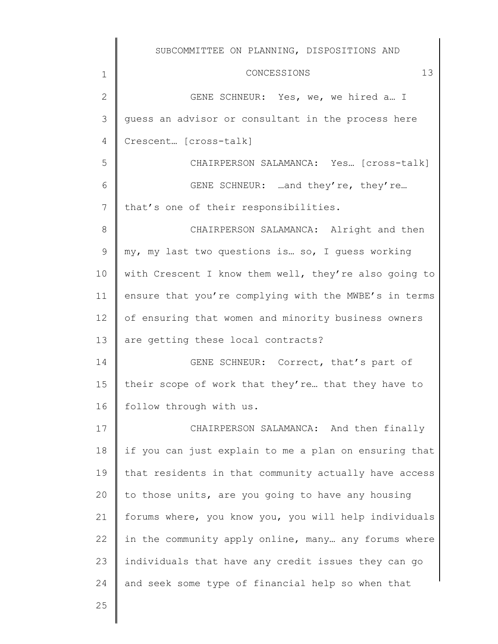1 2 3 4 5 6 7 8 9 10 11 12 13 14 15 16 17 18 19 20 21 22 23 24 CONCESSIONS 13 GENE SCHNEUR: Yes, we, we hired a… I guess an advisor or consultant in the process here Crescent… [cross-talk] CHAIRPERSON SALAMANCA: Yes… [cross-talk] GENE SCHNEUR: …and they're, they're… that's one of their responsibilities. CHAIRPERSON SALAMANCA: Alright and then my, my last two questions is… so, I guess working with Crescent I know them well, they're also going to ensure that you're complying with the MWBE's in terms of ensuring that women and minority business owners are getting these local contracts? GENE SCHNEUR: Correct, that's part of their scope of work that they're… that they have to follow through with us. CHAIRPERSON SALAMANCA: And then finally if you can just explain to me a plan on ensuring that that residents in that community actually have access to those units, are you going to have any housing forums where, you know you, you will help individuals in the community apply online, many… any forums where individuals that have any credit issues they can go and seek some type of financial help so when that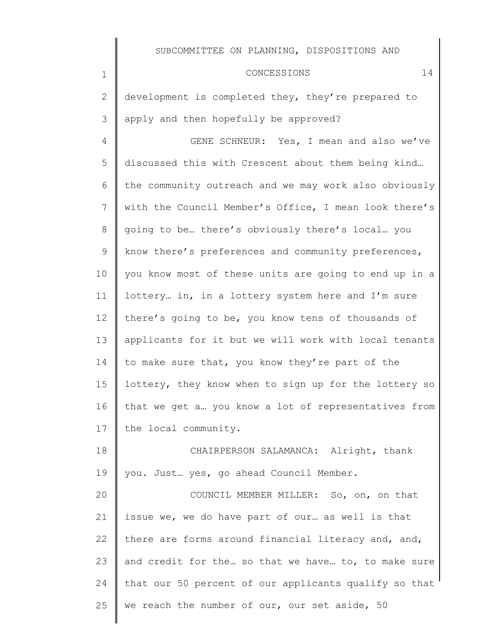#### CONCESSIONS 14

2 3 development is completed they, they're prepared to apply and then hopefully be approved?

1

4 5 6 7 8 9 10 11 12 13 14 15 16 17 GENE SCHNEUR: Yes, I mean and also we've discussed this with Crescent about them being kind… the community outreach and we may work also obviously with the Council Member's Office, I mean look there's going to be… there's obviously there's local… you know there's preferences and community preferences, you know most of these units are going to end up in a lottery… in, in a lottery system here and I'm sure there's going to be, you know tens of thousands of applicants for it but we will work with local tenants to make sure that, you know they're part of the lottery, they know when to sign up for the lottery so that we get a… you know a lot of representatives from the local community.

18 19 CHAIRPERSON SALAMANCA: Alright, thank you. Just… yes, go ahead Council Member.

20 21 22 23 24 25 COUNCIL MEMBER MILLER: So, on, on that issue we, we do have part of our… as well is that there are forms around financial literacy and, and, and credit for the… so that we have… to, to make sure that our 50 percent of our applicants qualify so that we reach the number of our, our set aside, 50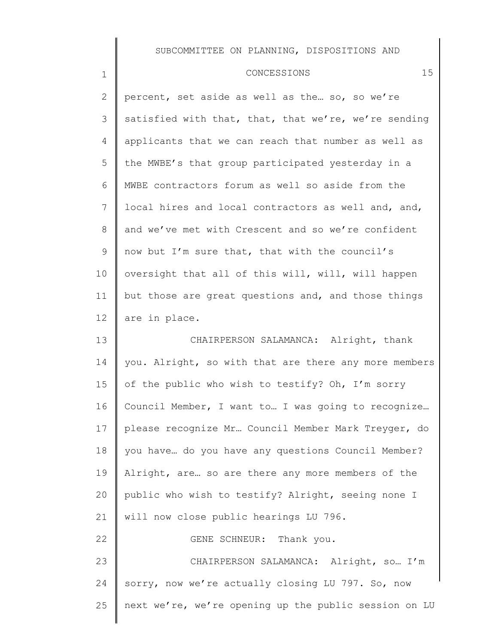### CONCESSIONS 15

1

2 3 4 5 6 7 8 9 10 11 12 13 14 15 percent, set aside as well as the… so, so we're satisfied with that, that, that we're, we're sending applicants that we can reach that number as well as the MWBE's that group participated yesterday in a MWBE contractors forum as well so aside from the local hires and local contractors as well and, and, and we've met with Crescent and so we're confident now but I'm sure that, that with the council's oversight that all of this will, will, will happen but those are great questions and, and those things are in place. CHAIRPERSON SALAMANCA: Alright, thank you. Alright, so with that are there any more members of the public who wish to testify? Oh, I'm sorry

16 17 18 19 20 21 Council Member, I want to… I was going to recognize… please recognize Mr… Council Member Mark Treyger, do you have… do you have any questions Council Member? Alright, are… so are there any more members of the public who wish to testify? Alright, seeing none I will now close public hearings LU 796.

22 23 24 25 GENE SCHNEUR: Thank you. CHAIRPERSON SALAMANCA: Alright, so… I'm sorry, now we're actually closing LU 797. So, now next we're, we're opening up the public session on LU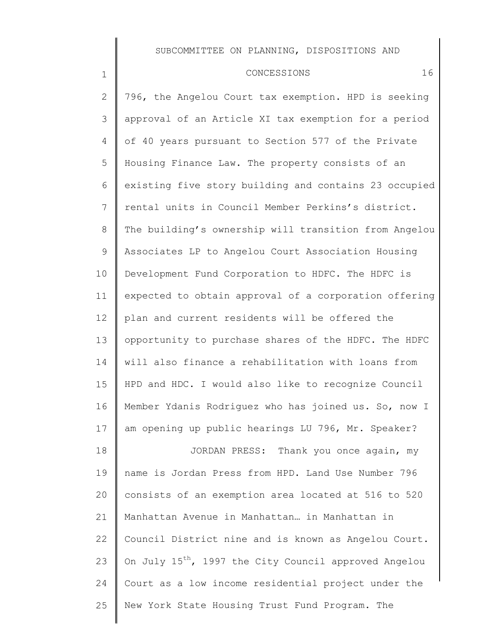#### CONCESSIONS 16

1

24

25

2 3 4 5 6 7 8 9 10 11 12 13 14 15 16 17 18 19 20 21 22 23 796, the Angelou Court tax exemption. HPD is seeking approval of an Article XI tax exemption for a period of 40 years pursuant to Section 577 of the Private Housing Finance Law. The property consists of an existing five story building and contains 23 occupied rental units in Council Member Perkins's district. The building's ownership will transition from Angelou Associates LP to Angelou Court Association Housing Development Fund Corporation to HDFC. The HDFC is expected to obtain approval of a corporation offering plan and current residents will be offered the opportunity to purchase shares of the HDFC. The HDFC will also finance a rehabilitation with loans from HPD and HDC. I would also like to recognize Council Member Ydanis Rodriguez who has joined us. So, now I am opening up public hearings LU 796, Mr. Speaker? JORDAN PRESS: Thank you once again, my name is Jordan Press from HPD. Land Use Number 796 consists of an exemption area located at 516 to 520 Manhattan Avenue in Manhattan… in Manhattan in Council District nine and is known as Angelou Court. On July 15<sup>th</sup>, 1997 the City Council approved Angelou

Court as a low income residential project under the

New York State Housing Trust Fund Program. The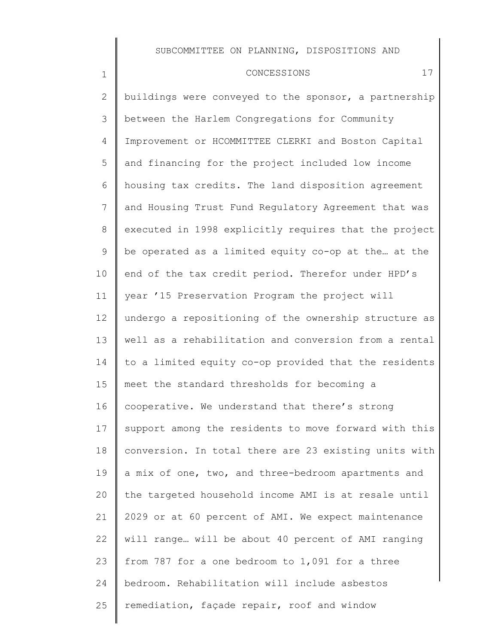CONCESSIONS 17

1

2 3 4 5 6 7 8 9 10 11 12 13 14 15 16 17 18 19 20 21 22 23 24 25 buildings were conveyed to the sponsor, a partnership between the Harlem Congregations for Community Improvement or HCOMMITTEE CLERKI and Boston Capital and financing for the project included low income housing tax credits. The land disposition agreement and Housing Trust Fund Regulatory Agreement that was executed in 1998 explicitly requires that the project be operated as a limited equity co-op at the… at the end of the tax credit period. Therefor under HPD's year '15 Preservation Program the project will undergo a repositioning of the ownership structure as well as a rehabilitation and conversion from a rental to a limited equity co-op provided that the residents meet the standard thresholds for becoming a cooperative. We understand that there's strong support among the residents to move forward with this conversion. In total there are 23 existing units with a mix of one, two, and three-bedroom apartments and the targeted household income AMI is at resale until 2029 or at 60 percent of AMI. We expect maintenance will range… will be about 40 percent of AMI ranging from 787 for a one bedroom to 1,091 for a three bedroom. Rehabilitation will include asbestos remediation, façade repair, roof and window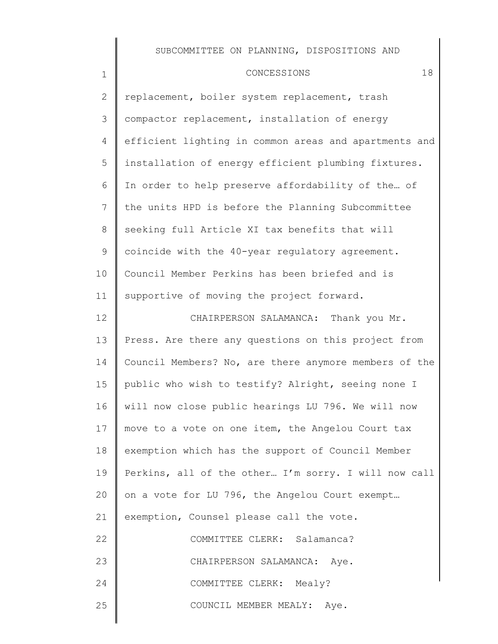#### CONCESSIONS 18

1

 $\sim$ 

2 3 4 5 6 7 8 9 10 11 12 13 replacement, boiler system replacement, trash compactor replacement, installation of energy efficient lighting in common areas and apartments and installation of energy efficient plumbing fixtures. In order to help preserve affordability of the… of the units HPD is before the Planning Subcommittee seeking full Article XI tax benefits that will coincide with the 40-year regulatory agreement. Council Member Perkins has been briefed and is supportive of moving the project forward. CHAIRPERSON SALAMANCA: Thank you Mr. Press. Are there any questions on this project from

14 15 16 17 18 19 20 21 Council Members? No, are there anymore members of the public who wish to testify? Alright, seeing none I will now close public hearings LU 796. We will now move to a vote on one item, the Angelou Court tax exemption which has the support of Council Member Perkins, all of the other… I'm sorry. I will now call on a vote for LU 796, the Angelou Court exempt… exemption, Counsel please call the vote.

| 22 | COMMITTEE CLERK: Salamanca?   |
|----|-------------------------------|
| 23 | CHAIRPERSON SALAMANCA: Aye.   |
| 24 | COMMITTEE CLERK: Mealy?       |
| 25 | COUNCIL MEMBER MEALY:<br>Ave. |
|    |                               |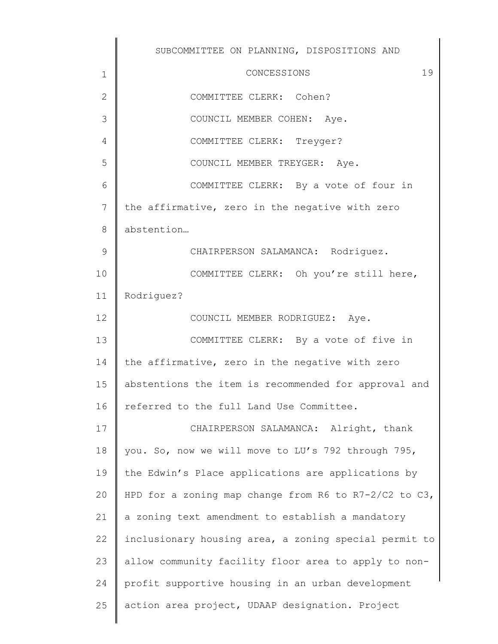|               | SUBCOMMITTEE ON PLANNING, DISPOSITIONS AND            |
|---------------|-------------------------------------------------------|
| $\mathbf 1$   | 19<br>CONCESSIONS                                     |
| $\mathbf{2}$  | COMMITTEE CLERK: Cohen?                               |
| 3             | COUNCIL MEMBER COHEN: Aye.                            |
| 4             | COMMITTEE CLERK: Treyger?                             |
| 5             | COUNCIL MEMBER TREYGER: Aye.                          |
| 6             | COMMITTEE CLERK: By a vote of four in                 |
| 7             | the affirmative, zero in the negative with zero       |
| $\,8\,$       | abstention                                            |
| $\mathcal{G}$ | CHAIRPERSON SALAMANCA: Rodriguez.                     |
| 10            | COMMITTEE CLERK: Oh you're still here,                |
| 11            | Rodriguez?                                            |
| 12            | COUNCIL MEMBER RODRIGUEZ: Aye.                        |
| 13            | COMMITTEE CLERK: By a vote of five in                 |
| 14            | the affirmative, zero in the negative with zero       |
| 15            | abstentions the item is recommended for approval and  |
| 16            | referred to the full Land Use Committee.              |
| 17            | CHAIRPERSON SALAMANCA: Alright, thank                 |
| 18            | you. So, now we will move to LU's 792 through 795,    |
| 19            | the Edwin's Place applications are applications by    |
| 20            | HPD for a zoning map change from R6 to R7-2/C2 to C3, |
| 21            | a zoning text amendment to establish a mandatory      |
| 22            | inclusionary housing area, a zoning special permit to |
| 23            | allow community facility floor area to apply to non-  |
| 24            | profit supportive housing in an urban development     |
| 25            | action area project, UDAAP designation. Project       |
|               |                                                       |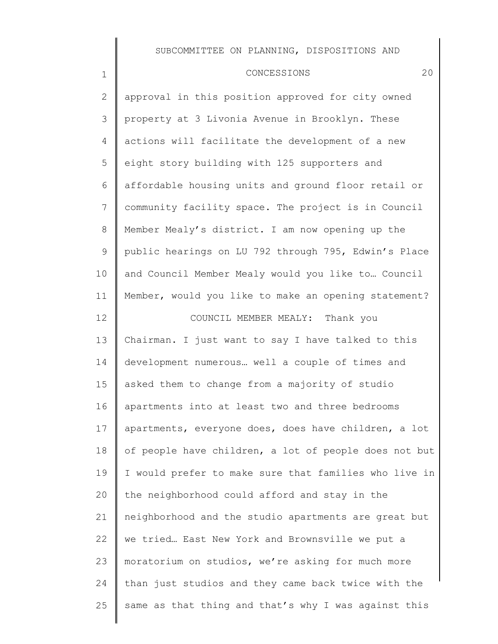#### CONCESSIONS 20

1

2 3 4 5 6 7 8 9 10 11 12 13 14 15 16 17 18 19 20 21 22 23 24 25 approval in this position approved for city owned property at 3 Livonia Avenue in Brooklyn. These actions will facilitate the development of a new eight story building with 125 supporters and affordable housing units and ground floor retail or community facility space. The project is in Council Member Mealy's district. I am now opening up the public hearings on LU 792 through 795, Edwin's Place and Council Member Mealy would you like to… Council Member, would you like to make an opening statement? COUNCIL MEMBER MEALY: Thank you Chairman. I just want to say I have talked to this development numerous… well a couple of times and asked them to change from a majority of studio apartments into at least two and three bedrooms apartments, everyone does, does have children, a lot of people have children, a lot of people does not but I would prefer to make sure that families who live in the neighborhood could afford and stay in the neighborhood and the studio apartments are great but we tried… East New York and Brownsville we put a moratorium on studios, we're asking for much more than just studios and they came back twice with the same as that thing and that's why I was against this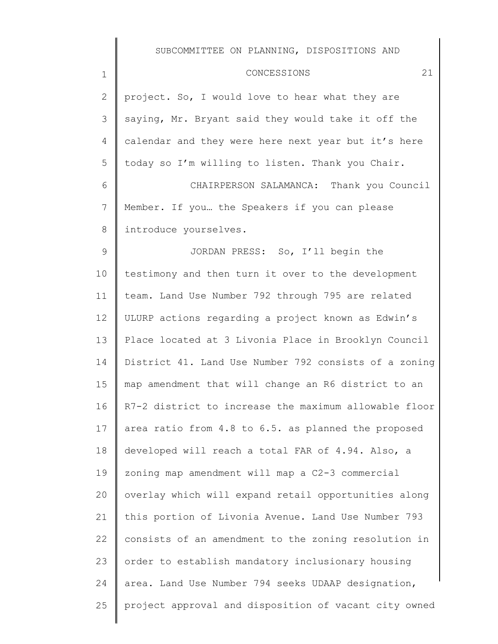| $\mathbf 1$     | CONCESSIONS<br>21                                     |
|-----------------|-------------------------------------------------------|
| $\overline{2}$  | project. So, I would love to hear what they are       |
| 3               | saying, Mr. Bryant said they would take it off the    |
| 4               | calendar and they were here next year but it's here   |
| 5               | today so I'm willing to listen. Thank you Chair.      |
| 6               | CHAIRPERSON SALAMANCA: Thank you Council              |
| $7\phantom{.0}$ | Member. If you the Speakers if you can please         |
| 8               | introduce yourselves.                                 |
| $\mathsf 9$     | JORDAN PRESS: So, I'll begin the                      |
| 10              | testimony and then turn it over to the development    |
| 11              | team. Land Use Number 792 through 795 are related     |
| 12              | ULURP actions regarding a project known as Edwin's    |
| 13              | Place located at 3 Livonia Place in Brooklyn Council  |
| 14              | District 41. Land Use Number 792 consists of a zoning |
| 15              | map amendment that will change an R6 district to an   |
| 16              | R7-2 district to increase the maximum allowable floor |
| 17              | area ratio from 4.8 to 6.5. as planned the proposed   |
| 18              | developed will reach a total FAR of 4.94. Also, a     |
| 19              | zoning map amendment will map a C2-3 commercial       |
| 20              | overlay which will expand retail opportunities along  |
| 21              | this portion of Livonia Avenue. Land Use Number 793   |
| 22              | consists of an amendment to the zoning resolution in  |
| 23              | order to establish mandatory inclusionary housing     |
| 24              | area. Land Use Number 794 seeks UDAAP designation,    |
| 25              | project approval and disposition of vacant city owned |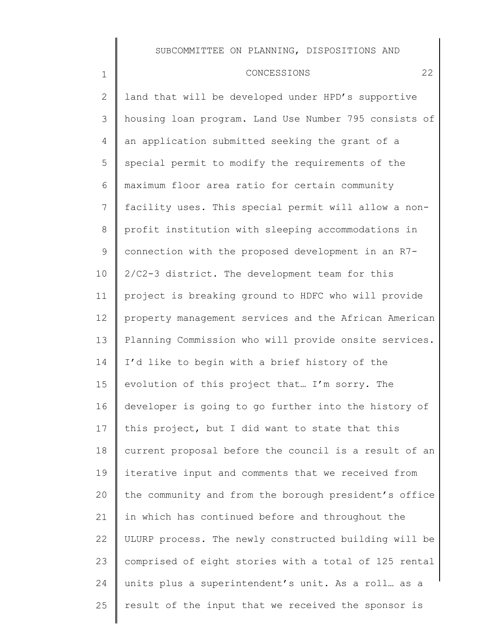1

2

3

4

5

6

7

8

9

10

11

 CONCESSIONS 22 land that will be developed under HPD's supportive housing loan program. Land Use Number 795 consists of an application submitted seeking the grant of a special permit to modify the requirements of the maximum floor area ratio for certain community facility uses. This special permit will allow a nonprofit institution with sleeping accommodations in connection with the proposed development in an R7- 2/C2-3 district. The development team for this project is breaking ground to HDFC who will provide property management services and the African American

| 12 <sup>°</sup> | property management services and the African American |
|-----------------|-------------------------------------------------------|
| 13              | Planning Commission who will provide onsite services. |
| 14              | I'd like to begin with a brief history of the         |
| 15              | evolution of this project that I'm sorry. The         |
| 16              | developer is going to go further into the history of  |
| 17              | this project, but I did want to state that this       |
| 18              | current proposal before the council is a result of an |
| 19              | iterative input and comments that we received from    |
| 20              | the community and from the borough president's office |
| 21              | in which has continued before and throughout the      |
| 22              | ULURP process. The newly constructed building will be |
| 23              | comprised of eight stories with a total of 125 rental |
| 24              | units plus a superintendent's unit. As a roll as a    |
| 25              | result of the input that we received the sponsor is   |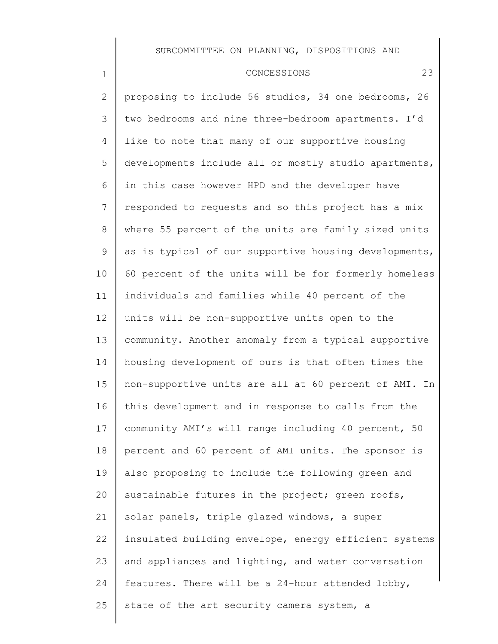#### CONCESSIONS 23

1

2 3 4 5 6 7 8 9 10 11 12 13 14 15 16 17 18 19 20 21 22 23 24 25 proposing to include 56 studios, 34 one bedrooms, 26 two bedrooms and nine three-bedroom apartments. I'd like to note that many of our supportive housing developments include all or mostly studio apartments, in this case however HPD and the developer have responded to requests and so this project has a mix where 55 percent of the units are family sized units as is typical of our supportive housing developments, 60 percent of the units will be for formerly homeless individuals and families while 40 percent of the units will be non-supportive units open to the community. Another anomaly from a typical supportive housing development of ours is that often times the non-supportive units are all at 60 percent of AMI. In this development and in response to calls from the community AMI's will range including 40 percent, 50 percent and 60 percent of AMI units. The sponsor is also proposing to include the following green and sustainable futures in the project; green roofs, solar panels, triple glazed windows, a super insulated building envelope, energy efficient systems and appliances and lighting, and water conversation features. There will be a 24-hour attended lobby, state of the art security camera system, a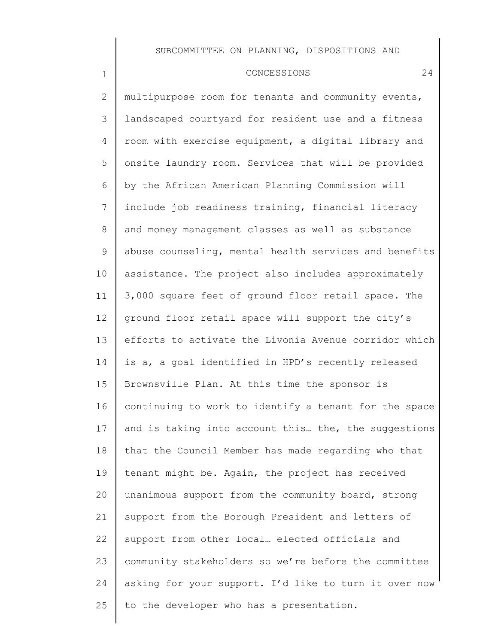#### CONCESSIONS 24

1

25

2 3 4 5 6 7 8 9 10 11 12 13 14 15 16 17 18 19 20 21 22 23 24 multipurpose room for tenants and community events, landscaped courtyard for resident use and a fitness room with exercise equipment, a digital library and onsite laundry room. Services that will be provided by the African American Planning Commission will include job readiness training, financial literacy and money management classes as well as substance abuse counseling, mental health services and benefits assistance. The project also includes approximately 3,000 square feet of ground floor retail space. The ground floor retail space will support the city's efforts to activate the Livonia Avenue corridor which is a, a goal identified in HPD's recently released Brownsville Plan. At this time the sponsor is continuing to work to identify a tenant for the space and is taking into account this… the, the suggestions that the Council Member has made regarding who that tenant might be. Again, the project has received unanimous support from the community board, strong support from the Borough President and letters of support from other local… elected officials and community stakeholders so we're before the committee asking for your support. I'd like to turn it over now

to the developer who has a presentation.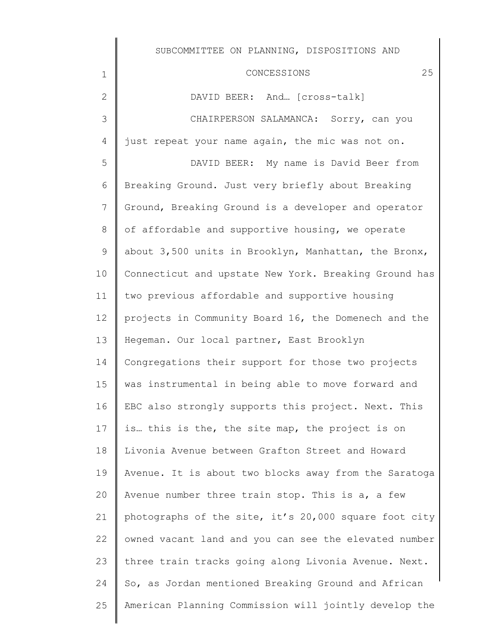1 2 3 4 5 6 7 8 9 10 11 12 13 14 15 16 17 18 19 20 21 22 23 CONCESSIONS 25 DAVID BEER: And… [cross-talk] CHAIRPERSON SALAMANCA: Sorry, can you just repeat your name again, the mic was not on. DAVID BEER: My name is David Beer from Breaking Ground. Just very briefly about Breaking Ground, Breaking Ground is a developer and operator of affordable and supportive housing, we operate about 3,500 units in Brooklyn, Manhattan, the Bronx, Connecticut and upstate New York. Breaking Ground has two previous affordable and supportive housing projects in Community Board 16, the Domenech and the Hegeman. Our local partner, East Brooklyn Congregations their support for those two projects was instrumental in being able to move forward and EBC also strongly supports this project. Next. This is… this is the, the site map, the project is on Livonia Avenue between Grafton Street and Howard Avenue. It is about two blocks away from the Saratoga Avenue number three train stop. This is a, a few photographs of the site, it's 20,000 square foot city owned vacant land and you can see the elevated number three train tracks going along Livonia Avenue. Next.

24 25 So, as Jordan mentioned Breaking Ground and African American Planning Commission will jointly develop the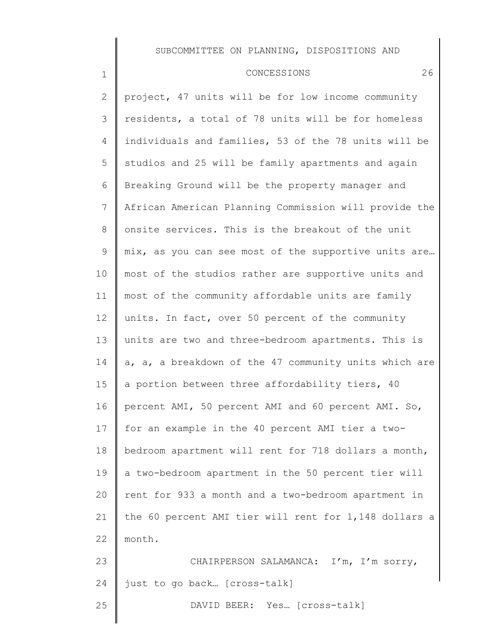## CONCESSIONS 26

| 2              | project, 47 units will be for low income community    |
|----------------|-------------------------------------------------------|
| 3              | residents, a total of 78 units will be for homeless   |
| 4              | individuals and families, 53 of the 78 units will be  |
| 5              | studios and 25 will be family apartments and again    |
| 6              | Breaking Ground will be the property manager and      |
| $\overline{7}$ | African American Planning Commission will provide the |
| 8              | onsite services. This is the breakout of the unit     |
| $\mathsf 9$    | mix, as you can see most of the supportive units are  |
| 10             | most of the studios rather are supportive units and   |
| 11             | most of the community affordable units are family     |
| 12             | units. In fact, over 50 percent of the community      |
| 13             | units are two and three-bedroom apartments. This is   |
| 14             | a, a, a breakdown of the 47 community units which are |
| 15             | a portion between three affordability tiers, 40       |
| 16             | percent AMI, 50 percent AMI and 60 percent AMI. So,   |
| 17             | for an example in the 40 percent AMI tier a two-      |
| 18             | bedroom apartment will rent for 718 dollars a month,  |
| 19             | a two-bedroom apartment in the 50 percent tier will   |
| 20             | rent for 933 a month and a two-bedroom apartment in   |
| 21             | the 60 percent AMI tier will rent for 1,148 dollars a |
| 22             | month.                                                |
| 23             | CHAIRPERSON SALAMANCA: I'm, I'm sorry,                |
| 24             | just to go back [cross-talk]                          |
| 25             | DAVID BEER: Yes [Cross-talk]                          |
|                |                                                       |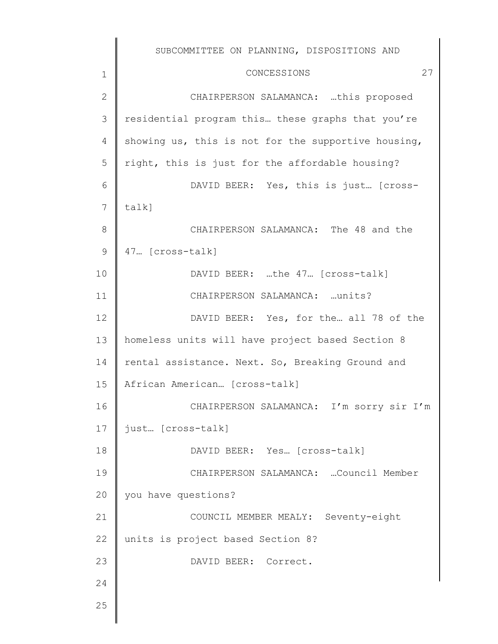1 2 3 4 5 6 7 8 9 10 11 12 13 14 15 16 17 18 19 20 21 22 23 24 25 SUBCOMMITTEE ON PLANNING, DISPOSITIONS AND CONCESSIONS 27 CHAIRPERSON SALAMANCA: …this proposed residential program this… these graphs that you're showing us, this is not for the supportive housing, right, this is just for the affordable housing? DAVID BEER: Yes, this is just… [crosstalk] CHAIRPERSON SALAMANCA: The 48 and the 47… [cross-talk] DAVID BEER: …the 47… [cross-talk] CHAIRPERSON SALAMANCA: …units? DAVID BEER: Yes, for the… all 78 of the homeless units will have project based Section 8 rental assistance. Next. So, Breaking Ground and African American… [cross-talk] CHAIRPERSON SALAMANCA: I'm sorry sir I'm just… [cross-talk] DAVID BEER: Yes… [cross-talk] CHAIRPERSON SALAMANCA: …Council Member you have questions? COUNCIL MEMBER MEALY: Seventy-eight units is project based Section 8? DAVID BEER: Correct.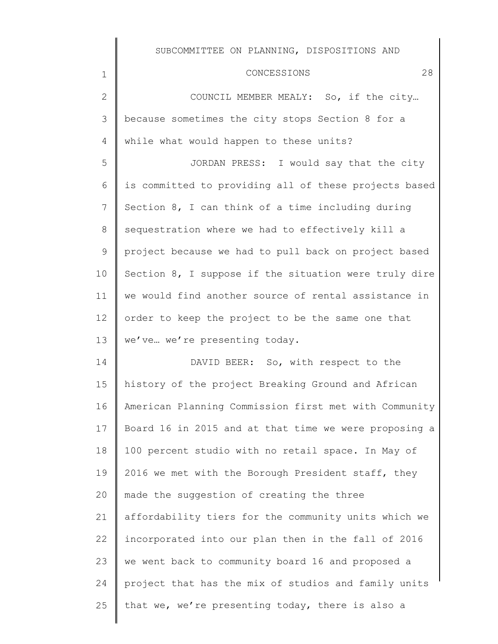| 1               | 28<br>CONCESSIONS                                     |
|-----------------|-------------------------------------------------------|
| $\mathbf{2}$    | COUNCIL MEMBER MEALY: So, if the city                 |
| 3               | because sometimes the city stops Section 8 for a      |
| 4               | while what would happen to these units?               |
| 5               | JORDAN PRESS: I would say that the city               |
| 6               | is committed to providing all of these projects based |
| $7\overline{ }$ | Section 8, I can think of a time including during     |
| 8               | sequestration where we had to effectively kill a      |
| 9               | project because we had to pull back on project based  |
| 10              | Section 8, I suppose if the situation were truly dire |
| 11              | we would find another source of rental assistance in  |
| 12              | order to keep the project to be the same one that     |
| 13              | we've we're presenting today.                         |
| 14              | DAVID BEER: So, with respect to the                   |
| 15              | history of the project Breaking Ground and African    |
| 16              | American Planning Commission first met with Community |
| 17              | Board 16 in 2015 and at that time we were proposing a |
| 18              | 100 percent studio with no retail space. In May of    |
| 19              | 2016 we met with the Borough President staff, they    |
| 20              | made the suggestion of creating the three             |
| 21              | affordability tiers for the community units which we  |
| 22              | incorporated into our plan then in the fall of 2016   |
| 23              | we went back to community board 16 and proposed a     |
| 24              | project that has the mix of studios and family units  |
| 25              | that we, we're presenting today, there is also a      |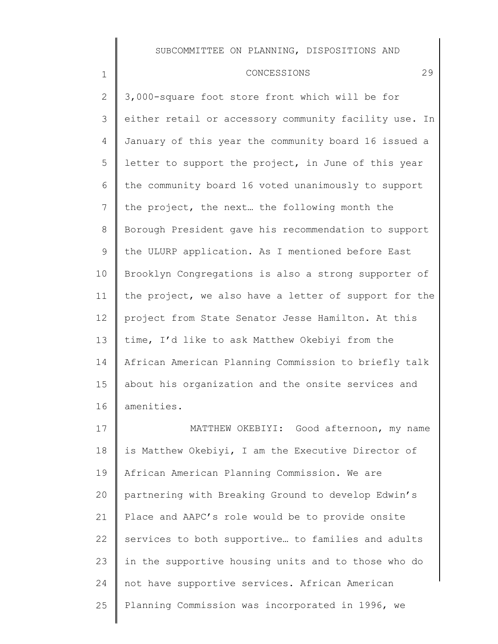## CONCESSIONS 29

| $\overline{2}$ | 3,000-square foot store front which will be for       |
|----------------|-------------------------------------------------------|
| 3              | either retail or accessory community facility use. In |
| 4              | January of this year the community board 16 issued a  |
| 5              | letter to support the project, in June of this year   |
| 6              | the community board 16 voted unanimously to support   |
| 7              | the project, the next the following month the         |
| $8\,$          | Borough President gave his recommendation to support  |
| 9              | the ULURP application. As I mentioned before East     |
| 10             | Brooklyn Congregations is also a strong supporter of  |
| 11             | the project, we also have a letter of support for the |
| 12             | project from State Senator Jesse Hamilton. At this    |
| 13             | time, I'd like to ask Matthew Okebiyi from the        |
| 14             | African American Planning Commission to briefly talk  |
| 15             | about his organization and the onsite services and    |
| 16             | amenities.                                            |
| 17             | MATTHEW OKEBIYI: Good afternoon, my name              |
| 18             | is Matthew Okebiyi, I am the Executive Director of    |
| 19             | African American Planning Commission. We are          |
| 20             | partnering with Breaking Ground to develop Edwin's    |
| 21             | Place and AAPC's role would be to provide onsite      |
| 22             | services to both supportive to families and adults    |
| 23             | in the supportive housing units and to those who do   |
| 24             | not have supportive services. African American        |
| 25             | Planning Commission was incorporated in 1996, we      |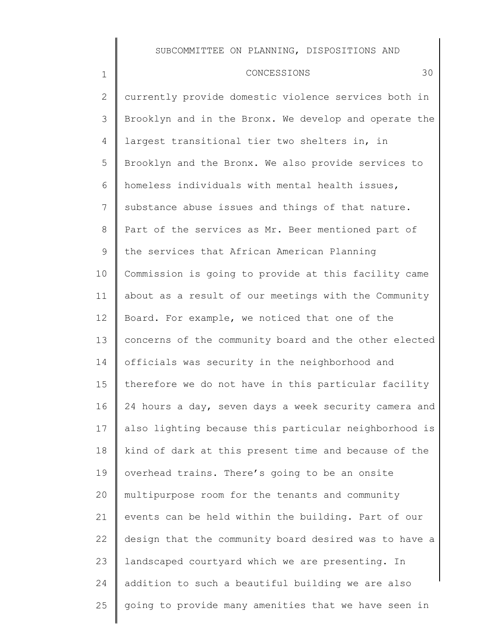#### CONCESSIONS 30

1

2 3 4 5 6 7 8 9 10 11 12 13 14 15 16 17 18 19 20 21 22 23 24 25 currently provide domestic violence services both in Brooklyn and in the Bronx. We develop and operate the largest transitional tier two shelters in, in Brooklyn and the Bronx. We also provide services to homeless individuals with mental health issues, substance abuse issues and things of that nature. Part of the services as Mr. Beer mentioned part of the services that African American Planning Commission is going to provide at this facility came about as a result of our meetings with the Community Board. For example, we noticed that one of the concerns of the community board and the other elected officials was security in the neighborhood and therefore we do not have in this particular facility 24 hours a day, seven days a week security camera and also lighting because this particular neighborhood is kind of dark at this present time and because of the overhead trains. There's going to be an onsite multipurpose room for the tenants and community events can be held within the building. Part of our design that the community board desired was to have a landscaped courtyard which we are presenting. In addition to such a beautiful building we are also going to provide many amenities that we have seen in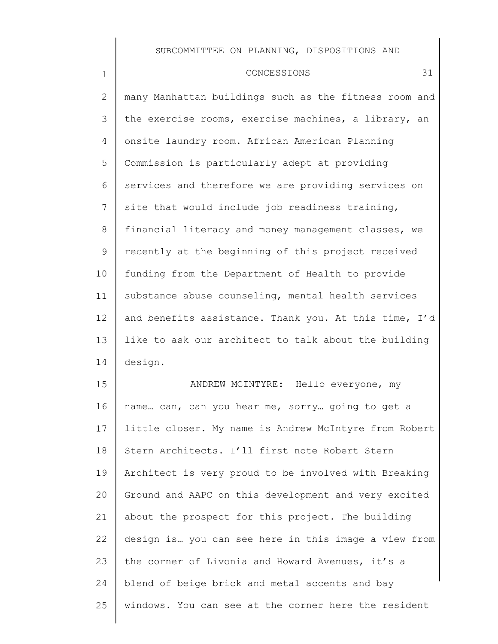1

2 3 4 5 6 7 8 9 10 11 12 13 14 15 many Manhattan buildings such as the fitness room and the exercise rooms, exercise machines, a library, an onsite laundry room. African American Planning Commission is particularly adept at providing services and therefore we are providing services on site that would include job readiness training, financial literacy and money management classes, we recently at the beginning of this project received funding from the Department of Health to provide substance abuse counseling, mental health services and benefits assistance. Thank you. At this time, I'd like to ask our architect to talk about the building design. ANDREW MCINTYRE: Hello everyone, my

16 17 18 19 20 21 22 23 24 25 name… can, can you hear me, sorry… going to get a little closer. My name is Andrew McIntyre from Robert Stern Architects. I'll first note Robert Stern Architect is very proud to be involved with Breaking Ground and AAPC on this development and very excited about the prospect for this project. The building design is… you can see here in this image a view from the corner of Livonia and Howard Avenues, it's a blend of beige brick and metal accents and bay windows. You can see at the corner here the resident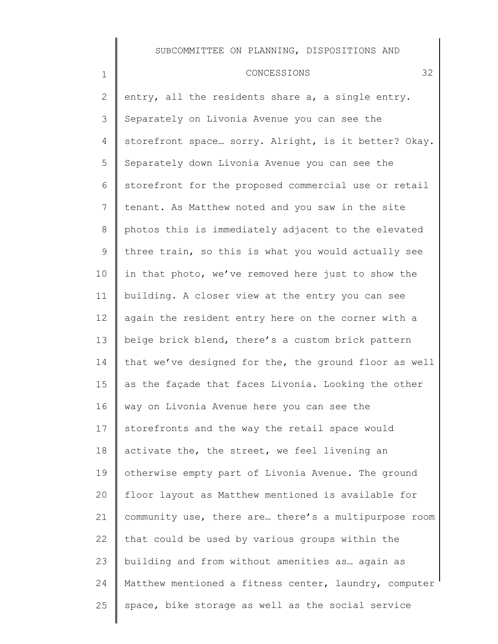#### CONCESSIONS 32

1

2 3 4 5 6 7 8 9 10 11 12 13 14 15 16 17 18 19 20 21 22 23 24 25 entry, all the residents share a, a single entry. Separately on Livonia Avenue you can see the storefront space… sorry. Alright, is it better? Okay. Separately down Livonia Avenue you can see the storefront for the proposed commercial use or retail tenant. As Matthew noted and you saw in the site photos this is immediately adjacent to the elevated three train, so this is what you would actually see in that photo, we've removed here just to show the building. A closer view at the entry you can see again the resident entry here on the corner with a beige brick blend, there's a custom brick pattern that we've designed for the, the ground floor as well as the façade that faces Livonia. Looking the other way on Livonia Avenue here you can see the storefronts and the way the retail space would activate the, the street, we feel livening an otherwise empty part of Livonia Avenue. The ground floor layout as Matthew mentioned is available for community use, there are… there's a multipurpose room that could be used by various groups within the building and from without amenities as… again as Matthew mentioned a fitness center, laundry, computer space, bike storage as well as the social service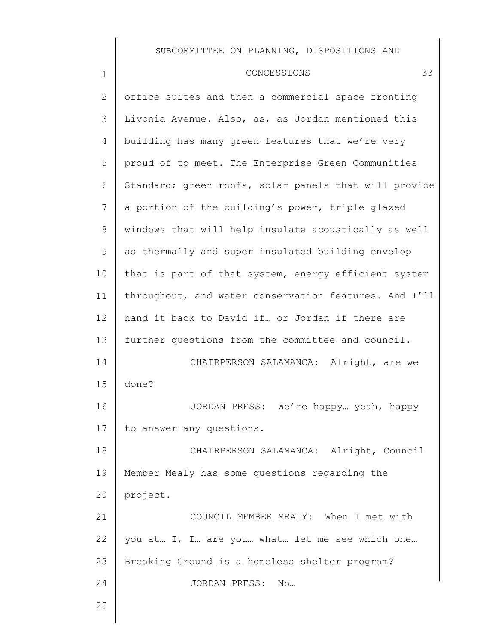## CONCESSIONS 33

| $\mathbf{2}$ | office suites and then a commercial space fronting    |
|--------------|-------------------------------------------------------|
| 3            | Livonia Avenue. Also, as, as Jordan mentioned this    |
| 4            | building has many green features that we're very      |
| 5            | proud of to meet. The Enterprise Green Communities    |
| 6            | Standard; green roofs, solar panels that will provide |
| 7            | a portion of the building's power, triple glazed      |
| 8            | windows that will help insulate acoustically as well  |
| 9            | as thermally and super insulated building envelop     |
| 10           | that is part of that system, energy efficient system  |
| 11           | throughout, and water conservation features. And I'll |
| 12           | hand it back to David if or Jordan if there are       |
| 13           | further questions from the committee and council.     |
| 14           | CHAIRPERSON SALAMANCA: Alright, are we                |
| 15           | done?                                                 |
| 16           | JORDAN PRESS: We're happy yeah, happy                 |
| 17           | to answer any questions.                              |
| 18           | CHAIRPERSON SALAMANCA: Alright, Council               |
| 19           | Member Mealy has some questions regarding the         |
| 20           | project.                                              |
| 21           | COUNCIL MEMBER MEALY: When I met with                 |
| 22           | you at I, I are you what let me see which one         |
| 23           | Breaking Ground is a homeless shelter program?        |
| 24           | JORDAN PRESS: No                                      |
| 25           |                                                       |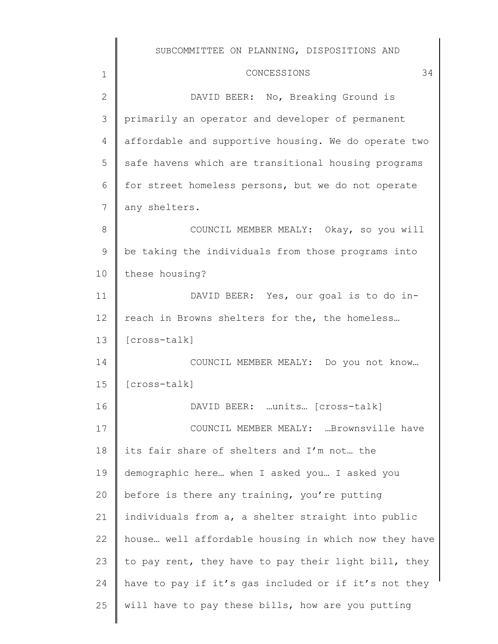1 2 3 4 5 6 7 8 9 10 11 12 13 14 15 16 17 18 19 20 21 22 23 24 CONCESSIONS 34 DAVID BEER: No, Breaking Ground is primarily an operator and developer of permanent affordable and supportive housing. We do operate two safe havens which are transitional housing programs for street homeless persons, but we do not operate any shelters. COUNCIL MEMBER MEALY: Okay, so you will be taking the individuals from those programs into these housing? DAVID BEER: Yes, our goal is to do inreach in Browns shelters for the, the homeless… [cross-talk] COUNCIL MEMBER MEALY: Do you not know… [cross-talk] DAVID BEER: …units… [cross-talk] COUNCIL MEMBER MEALY: …Brownsville have its fair share of shelters and I'm not… the demographic here… when I asked you… I asked you before is there any training, you're putting individuals from a, a shelter straight into public house… well affordable housing in which now they have to pay rent, they have to pay their light bill, they have to pay if it's gas included or if it's not they

will have to pay these bills, how are you putting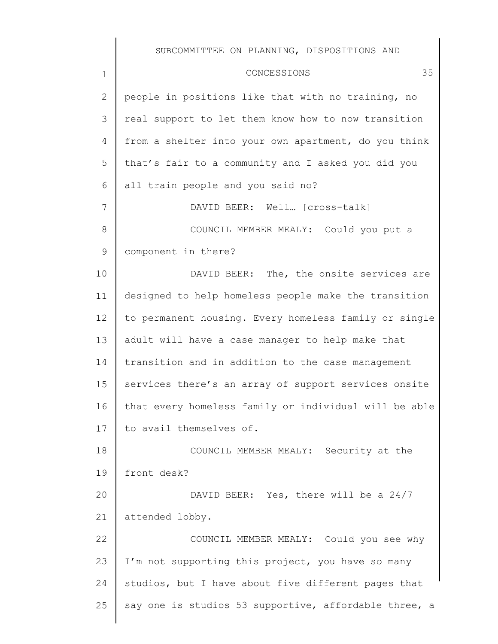|                | SUBCOMMITTEE ON PLANNING, DISPOSITIONS AND            |
|----------------|-------------------------------------------------------|
| $\mathbf 1$    | 35<br>CONCESSIONS                                     |
| $\overline{2}$ | people in positions like that with no training, no    |
| 3              | real support to let them know how to now transition   |
| 4              | from a shelter into your own apartment, do you think  |
| 5              | that's fair to a community and I asked you did you    |
| 6              | all train people and you said no?                     |
| 7              | DAVID BEER: Well [cross-talk]                         |
| 8              | COUNCIL MEMBER MEALY: Could you put a                 |
| 9              | component in there?                                   |
| 10             | DAVID BEER: The, the onsite services are              |
| 11             | designed to help homeless people make the transition  |
| 12             | to permanent housing. Every homeless family or single |
| 13             | adult will have a case manager to help make that      |
| 14             | transition and in addition to the case management     |
| 15             | services there's an array of support services onsite  |
| 16             | that every homeless family or individual will be able |
| 17             | to avail themselves of.                               |
| 18             | COUNCIL MEMBER MEALY: Security at the                 |
| 19             | front desk?                                           |
| 20             | DAVID BEER: Yes, there will be a 24/7                 |
| 21             | attended lobby.                                       |
| 22             | COUNCIL MEMBER MEALY: Could you see why               |
| 23             | I'm not supporting this project, you have so many     |
| 24             | studios, but I have about five different pages that   |
| 25             | say one is studios 53 supportive, affordable three, a |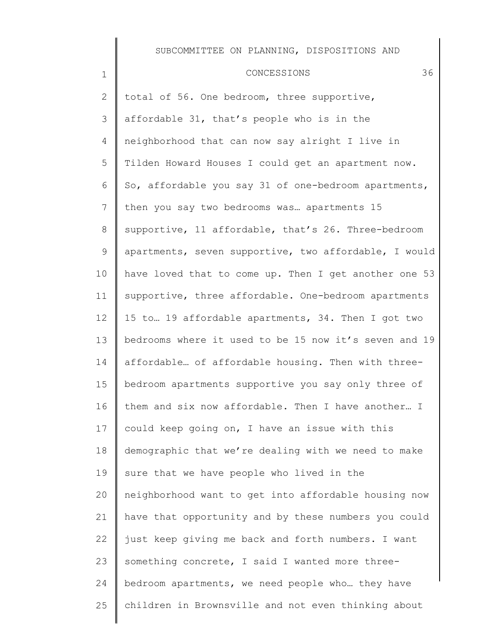#### CONCESSIONS 36

1

25

2 3 4 5 6 7 8 9 10 11 12 13 14 15 16 17 18 19 20 21 22 23 24 total of 56. One bedroom, three supportive, affordable 31, that's people who is in the neighborhood that can now say alright I live in Tilden Howard Houses I could get an apartment now. So, affordable you say 31 of one-bedroom apartments, then you say two bedrooms was… apartments 15 supportive, 11 affordable, that's 26. Three-bedroom apartments, seven supportive, two affordable, I would have loved that to come up. Then I get another one 53 supportive, three affordable. One-bedroom apartments 15 to… 19 affordable apartments, 34. Then I got two bedrooms where it used to be 15 now it's seven and 19 affordable… of affordable housing. Then with threebedroom apartments supportive you say only three of them and six now affordable. Then I have another… I could keep going on, I have an issue with this demographic that we're dealing with we need to make sure that we have people who lived in the neighborhood want to get into affordable housing now have that opportunity and by these numbers you could just keep giving me back and forth numbers. I want something concrete, I said I wanted more threebedroom apartments, we need people who… they have

children in Brownsville and not even thinking about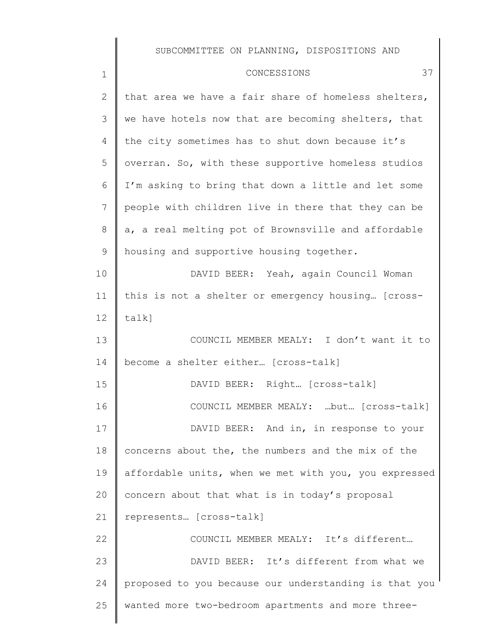║

| $\mathbf 1$    | 37<br>CONCESSIONS                                     |
|----------------|-------------------------------------------------------|
| $\mathbf{2}$   | that area we have a fair share of homeless shelters,  |
| 3              | we have hotels now that are becoming shelters, that   |
| 4              | the city sometimes has to shut down because it's      |
| 5              | overran. So, with these supportive homeless studios   |
| 6              | I'm asking to bring that down a little and let some   |
| $\overline{7}$ | people with children live in there that they can be   |
| 8              | a, a real melting pot of Brownsville and affordable   |
| 9              | housing and supportive housing together.              |
| 10             | DAVID BEER: Yeah, again Council Woman                 |
| 11             | this is not a shelter or emergency housing [cross-    |
| 12             | talk]                                                 |
| 13             | COUNCIL MEMBER MEALY: I don't want it to              |
| 14             | become a shelter either [cross-talk]                  |
| 15             | DAVID BEER: Right [cross-talk]                        |
| 16             | COUNCIL MEMBER MEALY: but [cross-talk]                |
| 17             | DAVID BEER: And in, in response to your               |
| 18             | concerns about the, the numbers and the mix of the    |
| 19             | affordable units, when we met with you, you expressed |
| 20             | concern about that what is in today's proposal        |
| 21             | represents [cross-talk]                               |
| 22             | COUNCIL MEMBER MEALY: It's different                  |
| 23             | DAVID BEER: It's different from what we               |
| 24             | proposed to you because our understanding is that you |
| 25             | wanted more two-bedroom apartments and more three-    |
|                |                                                       |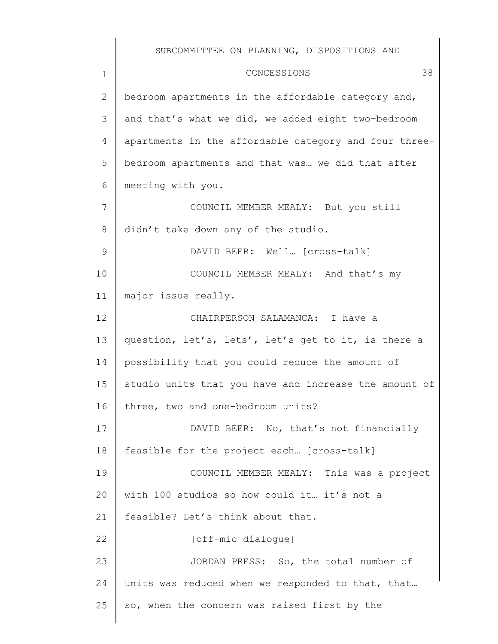1 2 3 4 5 6 7 8 9 10 11 12 13 14 15 16 17 18 19 20 21 22 23 24 25 CONCESSIONS 38 bedroom apartments in the affordable category and, and that's what we did, we added eight two-bedroom apartments in the affordable category and four threebedroom apartments and that was… we did that after meeting with you. COUNCIL MEMBER MEALY: But you still didn't take down any of the studio. DAVID BEER: Well… [cross-talk] COUNCIL MEMBER MEALY: And that's my major issue really. CHAIRPERSON SALAMANCA: I have a question, let's, lets', let's get to it, is there a possibility that you could reduce the amount of studio units that you have and increase the amount of three, two and one-bedroom units? DAVID BEER: No, that's not financially feasible for the project each… [cross-talk] COUNCIL MEMBER MEALY: This was a project with 100 studios so how could it… it's not a feasible? Let's think about that. [off-mic dialogue] JORDAN PRESS: So, the total number of units was reduced when we responded to that, that... so, when the concern was raised first by the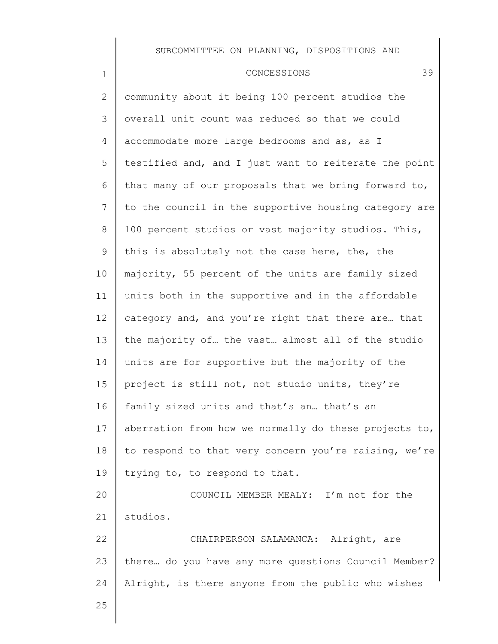#### CONCESSIONS 39

2 3 4 5 6 7 8 9 10 11 12 13 14 15 16 17 18 19 20 21 22 23 24 community about it being 100 percent studios the overall unit count was reduced so that we could accommodate more large bedrooms and as, as I testified and, and I just want to reiterate the point that many of our proposals that we bring forward to, to the council in the supportive housing category are 100 percent studios or vast majority studios. This, this is absolutely not the case here, the, the majority, 55 percent of the units are family sized units both in the supportive and in the affordable category and, and you're right that there are… that the majority of… the vast… almost all of the studio units are for supportive but the majority of the project is still not, not studio units, they're family sized units and that's an… that's an aberration from how we normally do these projects to, to respond to that very concern you're raising, we're trying to, to respond to that. COUNCIL MEMBER MEALY: I'm not for the studios. CHAIRPERSON SALAMANCA: Alright, are there… do you have any more questions Council Member? Alright, is there anyone from the public who wishes

25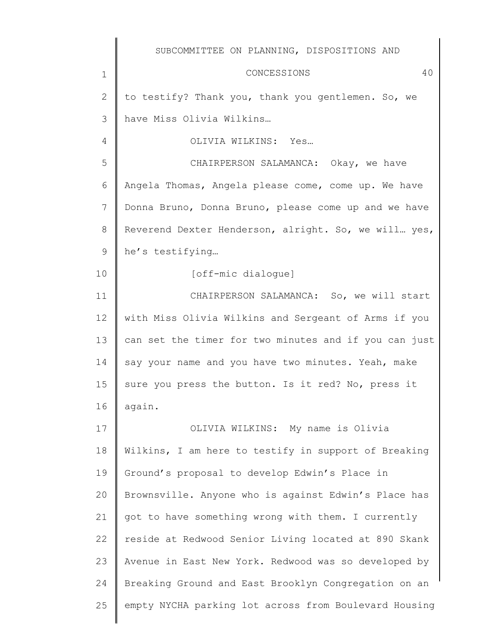CONCESSIONS 40

to testify? Thank you, thank you gentlemen. So, we have Miss Olivia Wilkins…

OLIVIA WILKINS: Yes…

1

2

3

4

10

5 6 7 8 9 CHAIRPERSON SALAMANCA: Okay, we have Angela Thomas, Angela please come, come up. We have Donna Bruno, Donna Bruno, please come up and we have Reverend Dexter Henderson, alright. So, we will… yes, he's testifying…

[off-mic dialogue]

11 12 13 14 15 16 CHAIRPERSON SALAMANCA: So, we will start with Miss Olivia Wilkins and Sergeant of Arms if you can set the timer for two minutes and if you can just say your name and you have two minutes. Yeah, make sure you press the button. Is it red? No, press it again.

17 18 19 20 21 22 23 24 25 OLIVIA WILKINS: My name is Olivia Wilkins, I am here to testify in support of Breaking Ground's proposal to develop Edwin's Place in Brownsville. Anyone who is against Edwin's Place has got to have something wrong with them. I currently reside at Redwood Senior Living located at 890 Skank Avenue in East New York. Redwood was so developed by Breaking Ground and East Brooklyn Congregation on an empty NYCHA parking lot across from Boulevard Housing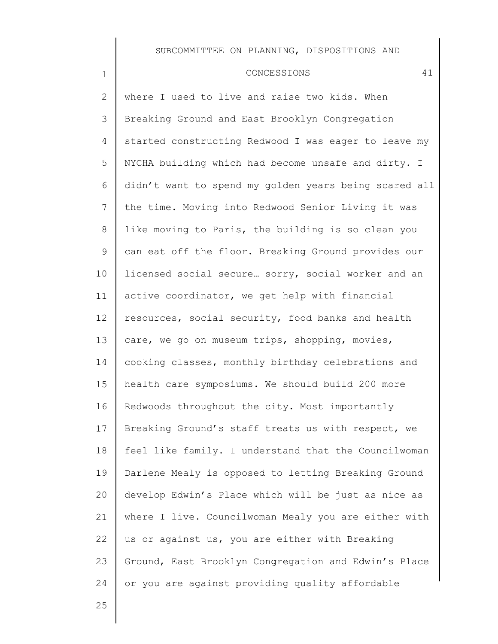#### CONCESSIONS 41

where I used to live and raise two kids. When Breaking Ground and East Brooklyn Congregation started constructing Redwood I was eager to leave my NYCHA building which had become unsafe and dirty. I didn't want to spend my golden years being scared all the time. Moving into Redwood Senior Living it was like moving to Paris, the building is so clean you can eat off the floor. Breaking Ground provides our licensed social secure… sorry, social worker and an active coordinator, we get help with financial resources, social security, food banks and health care, we go on museum trips, shopping, movies, cooking classes, monthly birthday celebrations and health care symposiums. We should build 200 more Redwoods throughout the city. Most importantly Breaking Ground's staff treats us with respect, we feel like family. I understand that the Councilwoman Darlene Mealy is opposed to letting Breaking Ground develop Edwin's Place which will be just as nice as where I live. Councilwoman Mealy you are either with us or against us, you are either with Breaking Ground, East Brooklyn Congregation and Edwin's Place or you are against providing quality affordable

25

1

2

3

4

5

6

7

8

9

10

11

12

13

14

15

16

17

18

19

20

21

22

23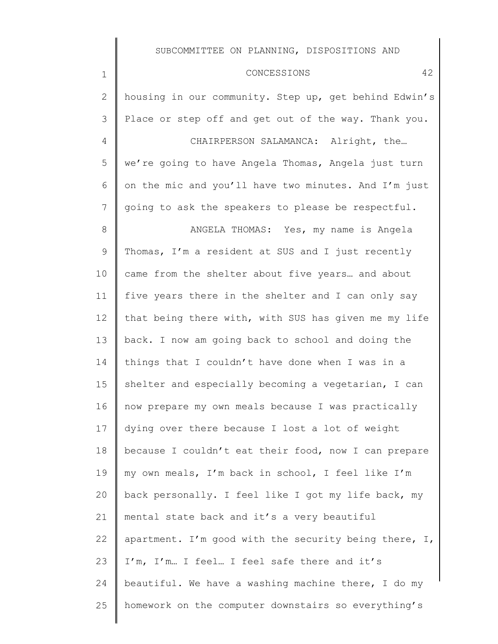| 2               | housing in our community. Step up, get behind Edwin's |
|-----------------|-------------------------------------------------------|
| 3               | Place or step off and get out of the way. Thank you.  |
| 4               | CHAIRPERSON SALAMANCA: Alright, the                   |
| 5               | we're going to have Angela Thomas, Angela just turn   |
| 6               | on the mic and you'll have two minutes. And I'm just  |
| $7\phantom{.0}$ | going to ask the speakers to please be respectful.    |
| 8               | ANGELA THOMAS: Yes, my name is Angela                 |
| 9               | Thomas, I'm a resident at SUS and I just recently     |
| 10              | came from the shelter about five years and about      |
| 11              | five years there in the shelter and I can only say    |
| 12              | that being there with, with SUS has given me my life  |
| 13              | back. I now am going back to school and doing the     |
| 14              | things that I couldn't have done when I was in a      |
| 15              | shelter and especially becoming a vegetarian, I can   |
| 16              | now prepare my own meals because I was practically    |
| 17              | dying over there because I lost a lot of weight       |
| 18              | because I couldn't eat their food, now I can prepare  |
| 19              | my own meals, I'm back in school, I feel like I'm     |
| 20              | back personally. I feel like I got my life back, my   |
| 21              | mental state back and it's a very beautiful           |
| 22              | apartment. I'm good with the security being there, I, |
| 23              | I'm, I'm I feel I feel safe there and it's            |
| 24              | beautiful. We have a washing machine there, I do my   |
| 25              | homework on the computer downstairs so everything's   |
|                 |                                                       |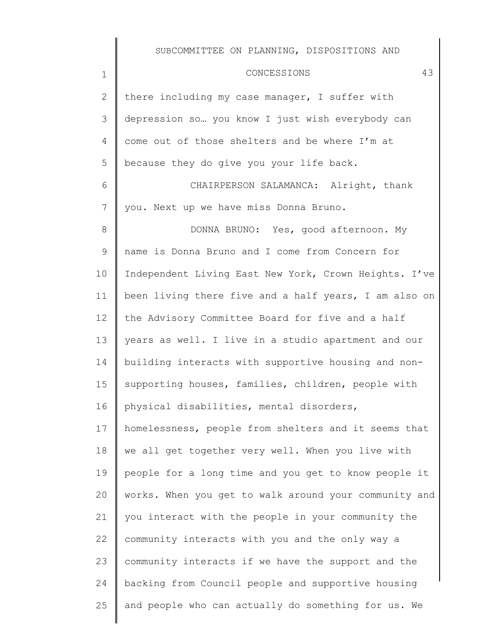### CONCESSIONS 43

2 3 4 5 there including my case manager, I suffer with depression so… you know I just wish everybody can come out of those shelters and be where I'm at because they do give you your life back.

1

6 7 CHAIRPERSON SALAMANCA: Alright, thank you. Next up we have miss Donna Bruno.

8 9 10 11 12 13 14 15 16 17 18 19 20 21 22 23 24 25 DONNA BRUNO: Yes, good afternoon. My name is Donna Bruno and I come from Concern for Independent Living East New York, Crown Heights. I've been living there five and a half years, I am also on the Advisory Committee Board for five and a half years as well. I live in a studio apartment and our building interacts with supportive housing and nonsupporting houses, families, children, people with physical disabilities, mental disorders, homelessness, people from shelters and it seems that we all get together very well. When you live with people for a long time and you get to know people it works. When you get to walk around your community and you interact with the people in your community the community interacts with you and the only way a community interacts if we have the support and the backing from Council people and supportive housing and people who can actually do something for us. We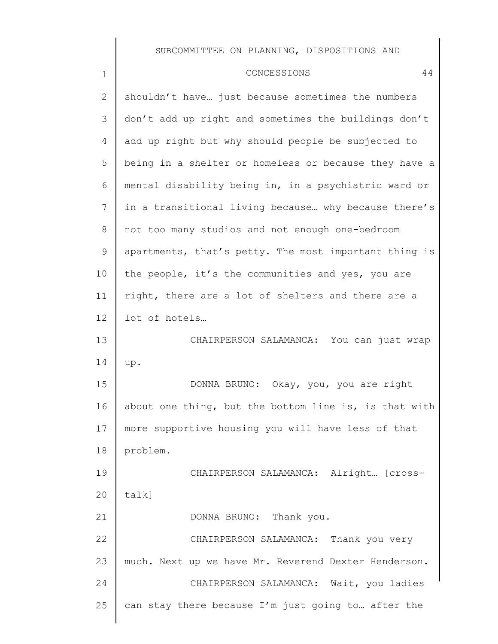1

2 3 4 5 6 7 8 9 10 11 12 13 14 15 16 17 18 19 20 21 22 23 24 25 shouldn't have… just because sometimes the numbers don't add up right and sometimes the buildings don't add up right but why should people be subjected to being in a shelter or homeless or because they have a mental disability being in, in a psychiatric ward or in a transitional living because… why because there's not too many studios and not enough one-bedroom apartments, that's petty. The most important thing is the people, it's the communities and yes, you are right, there are a lot of shelters and there are a lot of hotels… CHAIRPERSON SALAMANCA: You can just wrap up. DONNA BRUNO: Okay, you, you are right about one thing, but the bottom line is, is that with more supportive housing you will have less of that problem. CHAIRPERSON SALAMANCA: Alright… [crosstalk] DONNA BRUNO: Thank you. CHAIRPERSON SALAMANCA: Thank you very much. Next up we have Mr. Reverend Dexter Henderson. CHAIRPERSON SALAMANCA: Wait, you ladies can stay there because I'm just going to… after the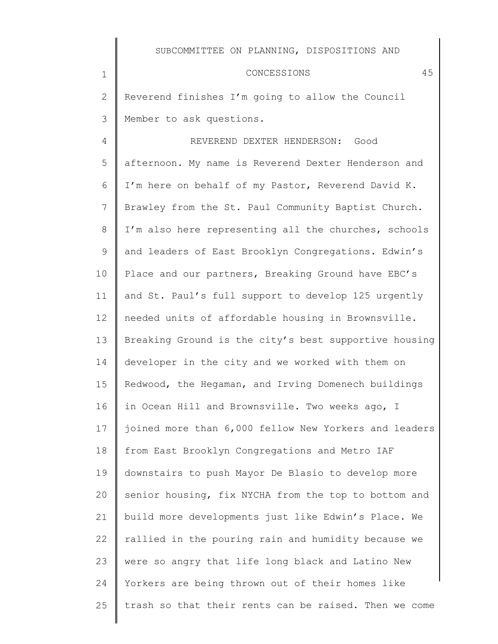### CONCESSIONS 45

2 3 Reverend finishes I'm going to allow the Council Member to ask questions.

1

4 5 6 7 8 9 10 11 12 13 14 15 16 17 18 19 20 21 22 23 24 25 REVEREND DEXTER HENDERSON: Good afternoon. My name is Reverend Dexter Henderson and I'm here on behalf of my Pastor, Reverend David K. Brawley from the St. Paul Community Baptist Church. I'm also here representing all the churches, schools and leaders of East Brooklyn Congregations. Edwin's Place and our partners, Breaking Ground have EBC's and St. Paul's full support to develop 125 urgently needed units of affordable housing in Brownsville. Breaking Ground is the city's best supportive housing developer in the city and we worked with them on Redwood, the Hegaman, and Irving Domenech buildings in Ocean Hill and Brownsville. Two weeks ago, I joined more than 6,000 fellow New Yorkers and leaders from East Brooklyn Congregations and Metro IAF downstairs to push Mayor De Blasio to develop more senior housing, fix NYCHA from the top to bottom and build more developments just like Edwin's Place. We rallied in the pouring rain and humidity because we were so angry that life long black and Latino New Yorkers are being thrown out of their homes like trash so that their rents can be raised. Then we come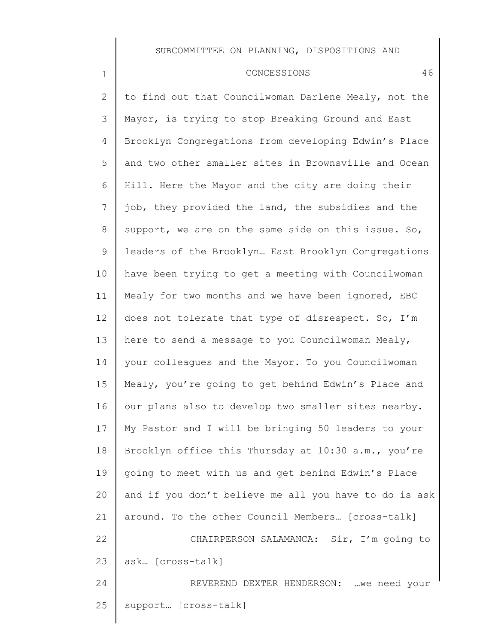#### CONCESSIONS 46

1

2 3 4 5 6 7 8 9 10 11 12 13 14 15 16 17 18 19 20 21 22 23 24 25 to find out that Councilwoman Darlene Mealy, not the Mayor, is trying to stop Breaking Ground and East Brooklyn Congregations from developing Edwin's Place and two other smaller sites in Brownsville and Ocean Hill. Here the Mayor and the city are doing their job, they provided the land, the subsidies and the support, we are on the same side on this issue. So, leaders of the Brooklyn… East Brooklyn Congregations have been trying to get a meeting with Councilwoman Mealy for two months and we have been ignored, EBC does not tolerate that type of disrespect. So, I'm here to send a message to you Councilwoman Mealy, your colleagues and the Mayor. To you Councilwoman Mealy, you're going to get behind Edwin's Place and our plans also to develop two smaller sites nearby. My Pastor and I will be bringing 50 leaders to your Brooklyn office this Thursday at 10:30 a.m., you're going to meet with us and get behind Edwin's Place and if you don't believe me all you have to do is ask around. To the other Council Members… [cross-talk] CHAIRPERSON SALAMANCA: Sir, I'm going to ask… [cross-talk] REVEREND DEXTER HENDERSON: …we need your support… [cross-talk]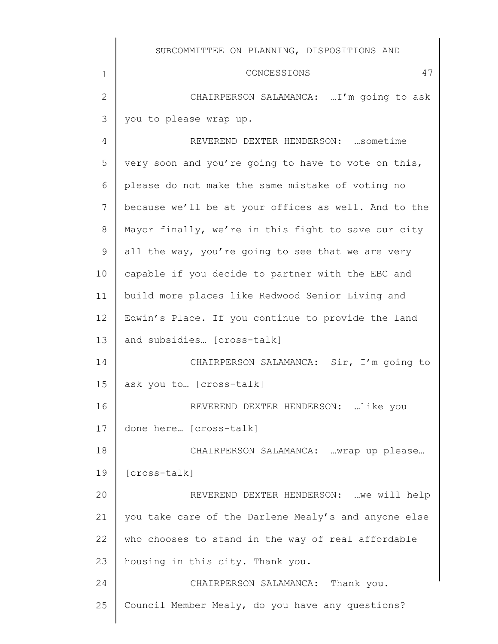$\parallel$ 

| $\mathbf 1$    | 47<br>CONCESSIONS                                    |
|----------------|------------------------------------------------------|
| $\overline{2}$ | CHAIRPERSON SALAMANCA: I'm going to ask              |
| 3              | you to please wrap up.                               |
| 4              | REVEREND DEXTER HENDERSON:  sometime                 |
| 5              | very soon and you're going to have to vote on this,  |
| 6              | please do not make the same mistake of voting no     |
| 7              | because we'll be at your offices as well. And to the |
| $8\,$          | Mayor finally, we're in this fight to save our city  |
| 9              | all the way, you're going to see that we are very    |
| 10             | capable if you decide to partner with the EBC and    |
| 11             | build more places like Redwood Senior Living and     |
| 12             | Edwin's Place. If you continue to provide the land   |
| 13             | and subsidies [cross-talk]                           |
| 14             | CHAIRPERSON SALAMANCA: Sir, I'm going to             |
| 15             | ask you to  [cross-talk]                             |
| 16             | REVEREND DEXTER HENDERSON: like you                  |
| 17             | done here [cross-talk]                               |
| 18             | CHAIRPERSON SALAMANCA: wrap up please                |
| 19             | [cross-talk]                                         |
| 20             | REVEREND DEXTER HENDERSON:  we will help             |
| 21             | you take care of the Darlene Mealy's and anyone else |
| 22             | who chooses to stand in the way of real affordable   |
| 23             | housing in this city. Thank you.                     |
| 24             | CHAIRPERSON SALAMANCA: Thank you.                    |
| 25             | Council Member Mealy, do you have any questions?     |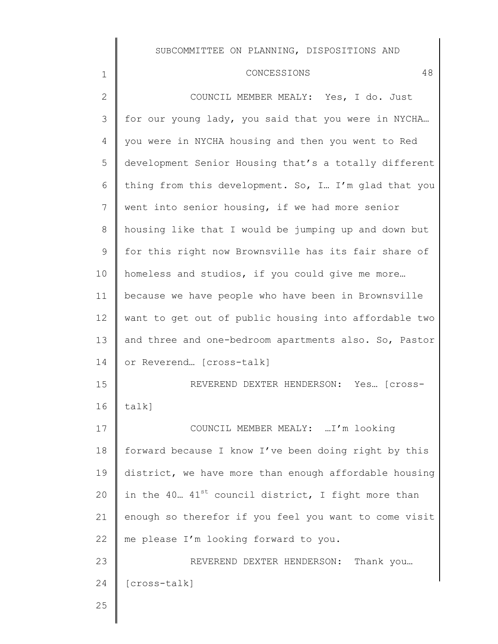#### CONCESSIONS 48

COUNCIL MEMBER MEALY: Yes, I do. Just for our young lady, you said that you were in NYCHA… you were in NYCHA housing and then you went to Red development Senior Housing that's a totally different thing from this development. So, I… I'm glad that you went into senior housing, if we had more senior housing like that I would be jumping up and down but for this right now Brownsville has its fair share of homeless and studios, if you could give me more… because we have people who have been in Brownsville want to get out of public housing into affordable two and three and one-bedroom apartments also. So, Pastor or Reverend… [cross-talk] REVEREND DEXTER HENDERSON: Yes… [crosstalk] COUNCIL MEMBER MEALY: …I'm looking forward because I know I've been doing right by this district, we have more than enough affordable housing in the 40...  $41^{st}$  council district, I fight more than enough so therefor if you feel you want to come visit me please I'm looking forward to you. REVEREND DEXTER HENDERSON: Thank you… [cross-talk]

25

1

2

3

4

5

6

7

8

9

10

11

12

13

14

15

16

17

18

19

20

21

22

23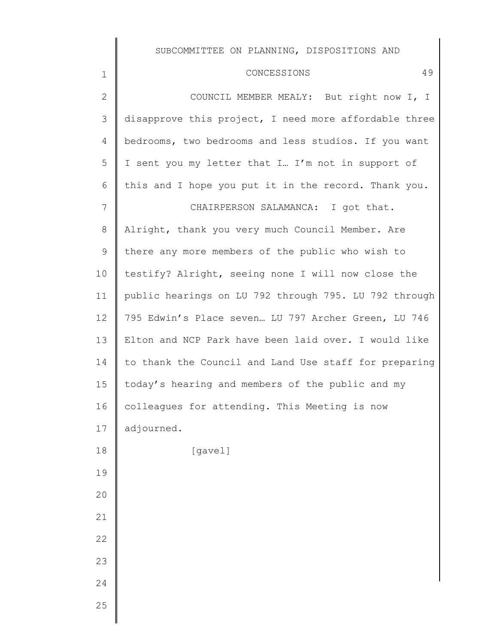## CONCESSIONS 49

| $\mathbf{2}$  | COUNCIL MEMBER MEALY: But right now I, I              |
|---------------|-------------------------------------------------------|
| $\mathcal{S}$ | disapprove this project, I need more affordable three |
| 4             | bedrooms, two bedrooms and less studios. If you want  |
| 5             | I sent you my letter that I I'm not in support of     |
| 6             | this and I hope you put it in the record. Thank you.  |
| 7             | CHAIRPERSON SALAMANCA: I got that.                    |
| $8\,$         | Alright, thank you very much Council Member. Are      |
| 9             | there any more members of the public who wish to      |
| 10            | testify? Alright, seeing none I will now close the    |
| 11            | public hearings on LU 792 through 795. LU 792 through |
| 12            | 795 Edwin's Place seven LU 797 Archer Green, LU 746   |
| 13            | Elton and NCP Park have been laid over. I would like  |
| 14            | to thank the Council and Land Use staff for preparing |
| 15            | today's hearing and members of the public and my      |
| 16            | colleagues for attending. This Meeting is now         |
| 17            | adjourned.                                            |
| 18            | [gavel]                                               |
| 19            |                                                       |
| 20            |                                                       |
| 21            |                                                       |
| 22            |                                                       |
| 23            |                                                       |
| 24            |                                                       |
| 25            |                                                       |